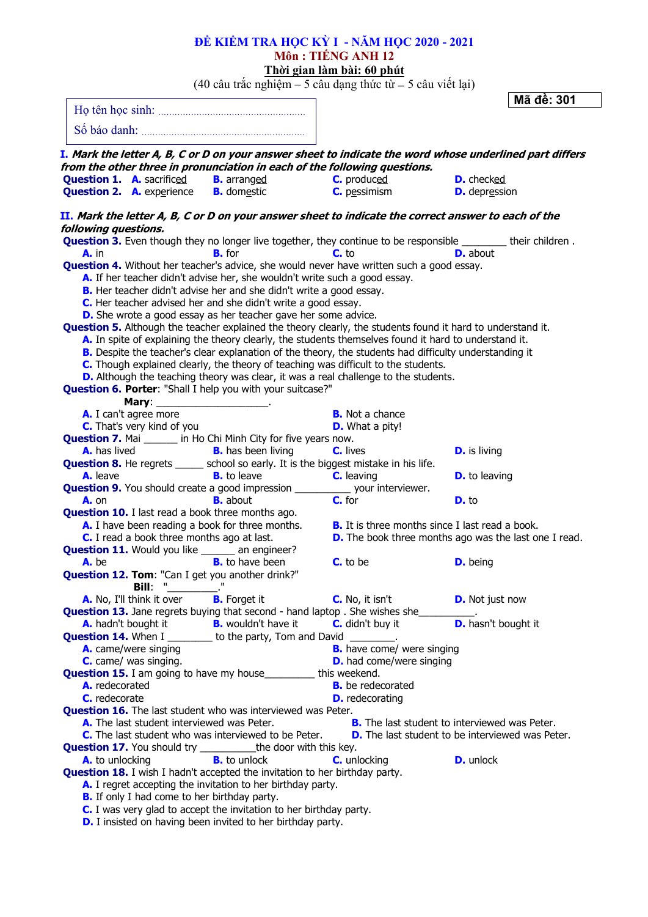| ĐỀ KIỂM TRA HỌC KỪ I - NĂM HỌC 2020 - 2021                                                                                            |                                                              |                            |            |
|---------------------------------------------------------------------------------------------------------------------------------------|--------------------------------------------------------------|----------------------------|------------|
|                                                                                                                                       | Môn : TIẾNG ANH 12                                           |                            |            |
|                                                                                                                                       | Thời gian làm bài: 60 phút                                   |                            |            |
| $(40 \text{ câu trắc nghiệm} - 5 \text{ câu dạng thức từ} - 5 \text{ câu viết lại})$                                                  |                                                              |                            |            |
|                                                                                                                                       |                                                              |                            | Mã đề: 301 |
|                                                                                                                                       |                                                              |                            |            |
|                                                                                                                                       |                                                              |                            |            |
| I. Mark the letter A, B, C or D on your answer sheet to indicate the word whose underlined part differs                               |                                                              |                            |            |
| from the other three in pronunciation in each of the following questions.                                                             |                                                              |                            |            |
| <b>Question 1. A.</b> sacrificed <b>B.</b> arranged                                                                                   | <b>C.</b> produced                                           | <b>D.</b> checked          |            |
| <b>Question 2.</b> A. experience <b>B.</b> domestic                                                                                   | $C.$ pessimism                                               | <b>D.</b> depression       |            |
|                                                                                                                                       |                                                              |                            |            |
| II. Mark the letter A, B, C or D on your answer sheet to indicate the correct answer to each of the                                   |                                                              |                            |            |
| following questions.<br>Question 3. Even though they no longer live together, they continue to be responsible _______ their children. |                                                              |                            |            |
| <b>B.</b> for<br>$A.$ in                                                                                                              | $C.$ to                                                      | <b>D.</b> about            |            |
| <b>Question 4.</b> Without her teacher's advice, she would never have written such a good essay.                                      |                                                              |                            |            |
| A. If her teacher didn't advise her, she wouldn't write such a good essay.                                                            |                                                              |                            |            |
| B. Her teacher didn't advise her and she didn't write a good essay.                                                                   |                                                              |                            |            |
| C. Her teacher advised her and she didn't write a good essay.                                                                         |                                                              |                            |            |
| D. She wrote a good essay as her teacher gave her some advice.                                                                        |                                                              |                            |            |
| <b>Question 5.</b> Although the teacher explained the theory clearly, the students found it hard to understand it.                    |                                                              |                            |            |
| A. In spite of explaining the theory clearly, the students themselves found it hard to understand it.                                 |                                                              |                            |            |
| B. Despite the teacher's clear explanation of the theory, the students had difficulty understanding it                                |                                                              |                            |            |
| C. Though explained clearly, the theory of teaching was difficult to the students.                                                    |                                                              |                            |            |
| D. Although the teaching theory was clear, it was a real challenge to the students.                                                   |                                                              |                            |            |
| Question 6. Porter: "Shall I help you with your suitcase?"                                                                            |                                                              |                            |            |
| Mary: ___________________________.<br>A. I can't agree more                                                                           | <b>B.</b> Not a chance                                       |                            |            |
| <b>C.</b> That's very kind of you                                                                                                     | <b>D.</b> What a pity!                                       |                            |            |
| <b>Question 7.</b> Mai ______ in Ho Chi Minh City for five years now.                                                                 |                                                              |                            |            |
| <b>B.</b> has been living<br><b>A.</b> has lived                                                                                      | <b>C.</b> lives                                              | <b>D.</b> is living        |            |
| <b>Question 8.</b> He regrets _____ school so early. It is the biggest mistake in his life.                                           |                                                              |                            |            |
| <b>B.</b> to leave<br>A. leave                                                                                                        | <b>C.</b> leaving                                            | <b>D.</b> to leaving       |            |
| <b>Question 9.</b> You should create a good impression ____________ your interviewer.                                                 |                                                              |                            |            |
| <b>B.</b> about<br><b>A.</b> on                                                                                                       | C. for                                                       | $D.$ to                    |            |
| <b>Question 10.</b> I last read a book three months ago.                                                                              |                                                              |                            |            |
| A. I have been reading a book for three months.                                                                                       | <b>B.</b> It is three months since I last read a book.       |                            |            |
| C. I read a book three months ago at last.                                                                                            | <b>D.</b> The book three months ago was the last one I read. |                            |            |
| <b>Question 11.</b> Would you like ______ an engineer?                                                                                |                                                              |                            |            |
| A. be<br><b>B.</b> to have been                                                                                                       | <b>C.</b> to be                                              | <b>D.</b> being            |            |
| Question 12. Tom: "Can I get you another drink?"<br>Bill:                                                                             |                                                              |                            |            |
| A. No, I'll think it over <b>B.</b> Forget it                                                                                         | C. No, it isn't                                              | <b>D.</b> Not just now     |            |
| <b>Question 13.</b> Jane regrets buying that second - hand laptop . She wishes she                                                    |                                                              |                            |            |
| A. hadn't bought it <b>B.</b> wouldn't have it                                                                                        | <b>C.</b> didn't buy it                                      | <b>D.</b> hasn't bought it |            |
| <b>Question 14.</b> When I _________ to the party, Tom and David ________.                                                            |                                                              |                            |            |
| A. came/were singing                                                                                                                  | <b>B.</b> have come/ were singing                            |                            |            |
| C. came/ was singing.                                                                                                                 | <b>D.</b> had come/were singing                              |                            |            |
| <b>Question 15.</b> I am going to have my house___________ this weekend.                                                              |                                                              |                            |            |
| A. redecorated                                                                                                                        | <b>B.</b> be redecorated                                     |                            |            |
| C. redecorate                                                                                                                         | <b>D.</b> redecorating                                       |                            |            |
| <b>Question 16.</b> The last student who was interviewed was Peter.                                                                   |                                                              |                            |            |
| A. The last student interviewed was Peter.                                                                                            | <b>B.</b> The last student to interviewed was Peter.         |                            |            |
| C. The last student who was interviewed to be Peter.                                                                                  | <b>D.</b> The last student to be interviewed was Peter.      |                            |            |
| <b>Question 17.</b> You should try ____________the door with this key.<br><b>B.</b> to unlock<br>A. to unlocking                      | <b>C.</b> unlocking                                          | <b>D.</b> unlock           |            |
| <b>Question 18.</b> I wish I hadn't accepted the invitation to her birthday party.                                                    |                                                              |                            |            |
| A. I regret accepting the invitation to her birthday party.                                                                           |                                                              |                            |            |
| <b>B.</b> If only I had come to her birthday party.                                                                                   |                                                              |                            |            |
| C. I was very glad to accept the invitation to her birthday party.                                                                    |                                                              |                            |            |
| <b>D.</b> I insisted on having been invited to her birthday party.                                                                    |                                                              |                            |            |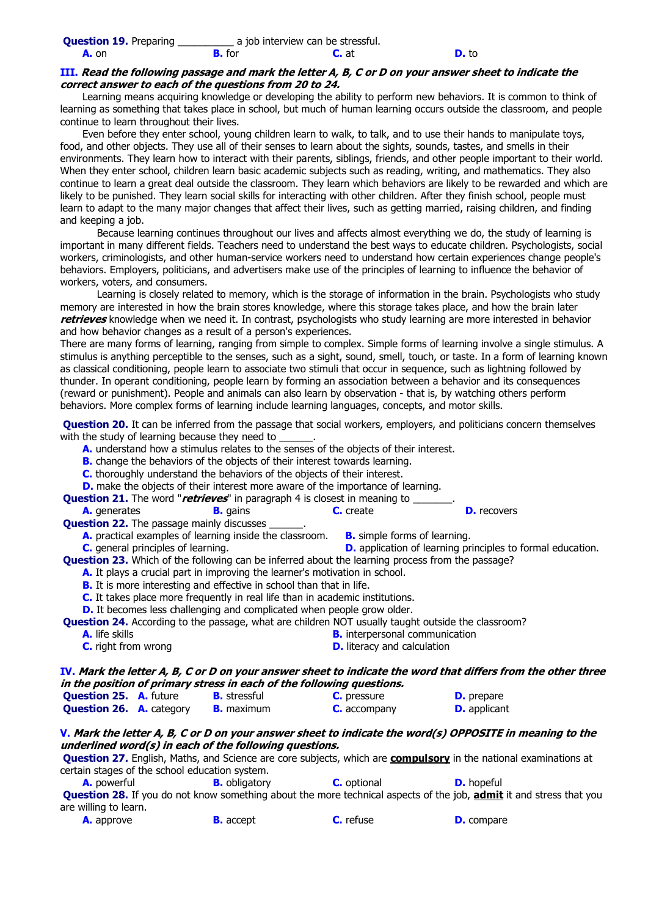### **III. Read the following passage and mark the letter A, B, C or D on your answer sheet to indicate the correct answer to each of the questions from 20 to 24.**

Learning means acquiring knowledge or developing the ability to perform new behaviors. It is common to think of learning as something that takes place in school, but much of human learning occurs outside the classroom, and people continue to learn throughout their lives.

Even before they enter school, young children learn to walk, to talk, and to use their hands to manipulate toys, food, and other objects. They use all of their senses to learn about the sights, sounds, tastes, and smells in their environments. They learn how to interact with their parents, siblings, friends, and other people important to their world. When they enter school, children learn basic academic subjects such as reading, writing, and mathematics. They also continue to learn a great deal outside the classroom. They learn which behaviors are likely to be rewarded and which are likely to be punished. They learn social skills for interacting with other children. After they finish school, people must learn to adapt to the many major changes that affect their lives, such as getting married, raising children, and finding and keeping a job.

Because learning continues throughout our lives and affects almost everything we do, the study of learning is important in many different fields. Teachers need to understand the best ways to educate children. Psychologists, social workers, criminologists, and other human-service workers need to understand how certain experiences change people's behaviors. Employers, politicians, and advertisers make use of the principles of learning to influence the behavior of workers, voters, and consumers.

Learning is closely related to memory, which is the storage of information in the brain. Psychologists who study memory are interested in how the brain stores knowledge, where this storage takes place, and how the brain later **retrieves** knowledge when we need it. In contrast, psychologists who study learning are more interested in behavior and how behavior changes as a result of a person's experiences.

There are many forms of learning, ranging from simple to complex. Simple forms of learning involve a single stimulus. A stimulus is anything perceptible to the senses, such as a sight, sound, smell, touch, or taste. In a form of learning known as classical conditioning, people learn to associate two stimuli that occur in sequence, such as lightning followed by thunder. In operant conditioning, people learn by forming an association between a behavior and its consequences (reward or punishment). People and animals can also learn by observation - that is, by watching others perform behaviors. More complex forms of learning include learning languages, concepts, and motor skills.

**Question 20.** It can be inferred from the passage that social workers, employers, and politicians concern themselves with the study of learning because they need to

- **A.** understand how a stimulus relates to the senses of the objects of their interest.
- **B.** change the behaviors of the objects of their interest towards learning.
- **C.** thoroughly understand the behaviors of the objects of their interest.
- **D.** make the objects of their interest more aware of the importance of learning.

| <b>Question 21.</b> The word "retrieves" in paragraph 4 is closest in meaning to |  |  |
|----------------------------------------------------------------------------------|--|--|
|                                                                                  |  |  |

**A.** generates **B.** gains **C.** create **D.** recovers

- **Question 22.** The passage mainly discusses
	- **A.** practical examples of learning inside the classroom. **B.** simple forms of learning.
- **C.** general principles of learning. **D.** application of learning principles to formal education.

**Question 23.** Which of the following can be inferred about the learning process from the passage?

- **A.** It plays a crucial part in improving the learner's motivation in school.
	- **B.** It is more interesting and effective in school than that in life.
	- **C.** It takes place more frequently in real life than in academic institutions.

**D.** It becomes less challenging and complicated when people grow older.

**Question 24.** According to the passage, what are children NOT usually taught outside the classroom?

- **A.** life skills **B.** interpersonal communication
- **C.** right from wrong **D.** literacy and calculation

# **IV. Mark the letter A, B, C or D on your answer sheet to indicate the word that differs from the other three in the position of primary stress in each of the following questions.**

| <b>Question 25. A.</b> future   | <b>B.</b> stressful | <b>C.</b> pressure  | <b>D.</b> prepare   |
|---------------------------------|---------------------|---------------------|---------------------|
| <b>Question 26. A.</b> category | <b>B.</b> maximum   | <b>C.</b> accompany | <b>D.</b> applicant |

#### **V. Mark the letter A, B, C or D on your answer sheet to indicate the word(s) OPPOSITE in meaning to the underlined word(s) in each of the following questions.**

**Question 27.** English, Maths, and Science are core subjects, which are **compulsory** in the national examinations at certain stages of the school education system.

**A.** powerful **B.** obligatory **C.** optional **D.** hopeful

**Question 28.** If you do not know something about the more technical aspects of the job, **admit** it and stress that you are willing to learn.

|  | <b>A.</b> approve | <b>B.</b> accept | <b>C.</b> refuse | <b>D.</b> compare |
|--|-------------------|------------------|------------------|-------------------|
|--|-------------------|------------------|------------------|-------------------|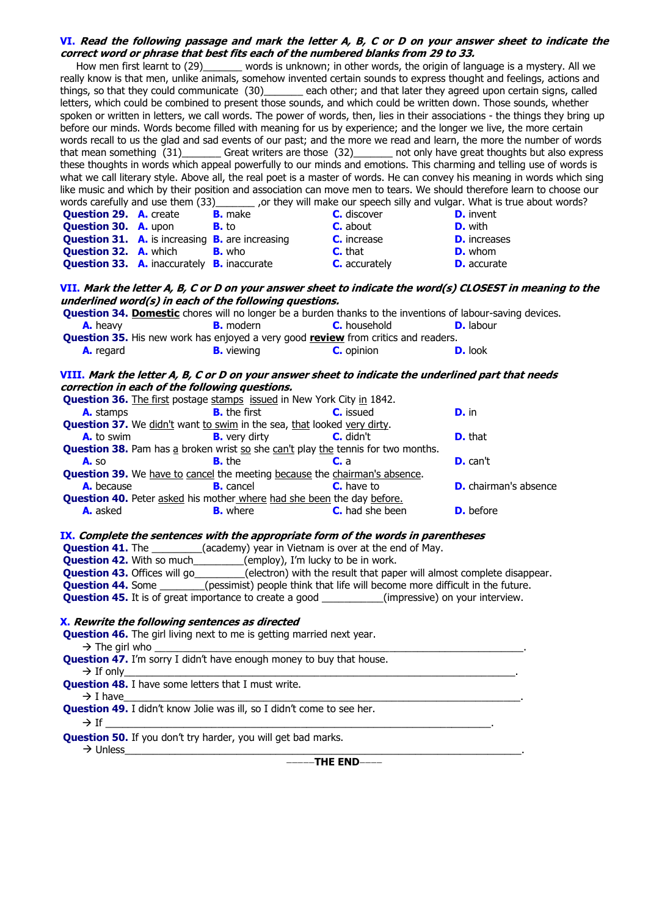#### **VI. Read the following passage and mark the letter A, B, C or D on your answer sheet to indicate the correct word or phrase that best fits each of the numbered blanks from 29 to 33.**

How men first learnt to (29)\_\_\_\_\_\_\_ words is unknown; in other words, the origin of language is a mystery. All we really know is that men, unlike animals, somehow invented certain sounds to express thought and feelings, actions and things, so that they could communicate (30) each other; and that later they agreed upon certain signs, called letters, which could be combined to present those sounds, and which could be written down. Those sounds, whether spoken or written in letters, we call words. The power of words, then, lies in their associations - the things they bring up before our minds. Words become filled with meaning for us by experience; and the longer we live, the more certain words recall to us the glad and sad events of our past; and the more we read and learn, the more the number of words that mean something (31) Great writers are those (32) and only have great thoughts but also express these thoughts in words which appeal powerfully to our minds and emotions. This charming and telling use of words is what we call literary style. Above all, the real poet is a master of words. He can convey his meaning in words which sing like music and which by their position and association can move men to tears. We should therefore learn to choose our words carefully and use them (33) or they will make our speech silly and vulgar. What is true about word \_ ,or they will make our speech silly and vulgar. What is true about words? **Question 29. A.** create **B.** make **C.** discover **D.** invent **Question 30. A.** upon **B.** to **C.** about **D.** with **Question 31.** A. is increasing **B.** are increasing **C.** increase **D.** increases **Question 32.** A. which **B.** who **C.** that **D.** whom **Question 33. A.** inaccurately **B.** inaccurate **C.** accurately **D.** accurate **VII. Mark the letter A, B, C or D on your answer sheet to indicate the word(s) CLOSEST in meaning to the underlined word(s) in each of the following questions. Question 34. Domestic** chores will no longer be a burden thanks to the inventions of labour-saving devices. **A.** heavy **B.** modern **C.** household **D.** labour **Question 35.** His new work has enjoyed a very good **review** from critics and readers. **A.** regard **B.** viewing **C.** opinion **D.** look **VIII. Mark the letter A, B, C or D on your answer sheet to indicate the underlined part that needs correction in each of the following questions. Question 36.** The first postage stamps issued in New York City in 1842. **A.** stamps **B.** the first **C.** issued **D.** in **Question 37.** We didn't want to swim in the sea, that looked very dirty. **A.** to swim **B.** very dirty **C.** didn't **D.** that **Question 38.** Pam has a broken wrist so she can't play the tennis for two months. **A.** so **B.** the **C.** a **D.** can't **Question 39.** We have to cancel the meeting because the chairman's absence. **A.** because **B.** cancel **C.** have to **D.** chairman's absence **Question 40.** Peter asked his mother where had she been the day before. **A.** asked **B.** where **C.** had she been **D.** before **IX. Complete the sentences with the appropriate form of the words in parentheses Question 41.** The \_\_\_\_\_\_\_\_\_(academy) year in Vietnam is over at the end of May. **Question 42.** With so much\_\_\_\_\_\_\_\_(employ), I'm lucky to be in work. **Question 43.** Offices will go \_\_\_\_\_\_\_\_(electron) with the result that paper will almost complete disappear. **Question 44.** Some \_\_\_\_\_\_\_(pessimist) people think that life will become more difficult in the future. **Question 45.** It is of great importance to create a good \_\_\_\_\_\_\_\_\_\_(impressive) on your interview. **X. Rewrite the following sentences as directed Question 46.** The girl living next to me is getting married next year.  $\rightarrow$  The girl who  **Question 47.** I'm sorry I didn't have enough money to buy that house. If only\_\_\_\_\_\_\_\_\_\_\_\_\_\_\_\_\_\_\_\_\_\_\_\_\_\_\_\_\_\_\_\_\_\_\_\_\_\_\_\_\_\_\_\_\_\_\_\_\_\_\_\_\_\_\_\_\_\_\_\_\_\_\_\_\_\_\_\_\_\_.  **Question 48.** I have some letters that I must write. I have\_\_\_\_\_\_\_\_\_\_\_\_\_\_\_\_\_\_\_\_\_\_\_\_\_\_\_\_\_\_\_\_\_\_\_\_\_\_\_\_\_\_\_\_\_\_\_\_\_\_\_\_\_\_\_\_\_\_\_\_\_\_\_\_\_\_\_\_\_\_\_.  **Question 49.** I didn't know Jolie was ill, so I didn't come to see her. If \_\_\_\_\_\_\_\_\_\_\_\_\_\_\_\_\_\_\_\_\_\_\_\_\_\_\_\_\_\_\_\_\_\_\_\_\_\_\_\_\_\_\_\_\_\_\_\_\_\_\_\_\_\_\_\_\_\_\_\_\_\_\_\_\_\_\_\_\_. **Ouestion 50.** If you don't try harder, you will get bad marks. Unless\_\_\_\_\_\_\_\_\_\_\_\_\_\_\_\_\_\_\_\_\_\_\_\_\_\_\_\_\_\_\_\_\_\_\_\_\_\_\_\_\_\_\_\_\_\_\_\_\_\_\_\_\_\_\_\_\_\_\_\_\_\_\_\_\_\_\_\_\_\_\_.

**THE END**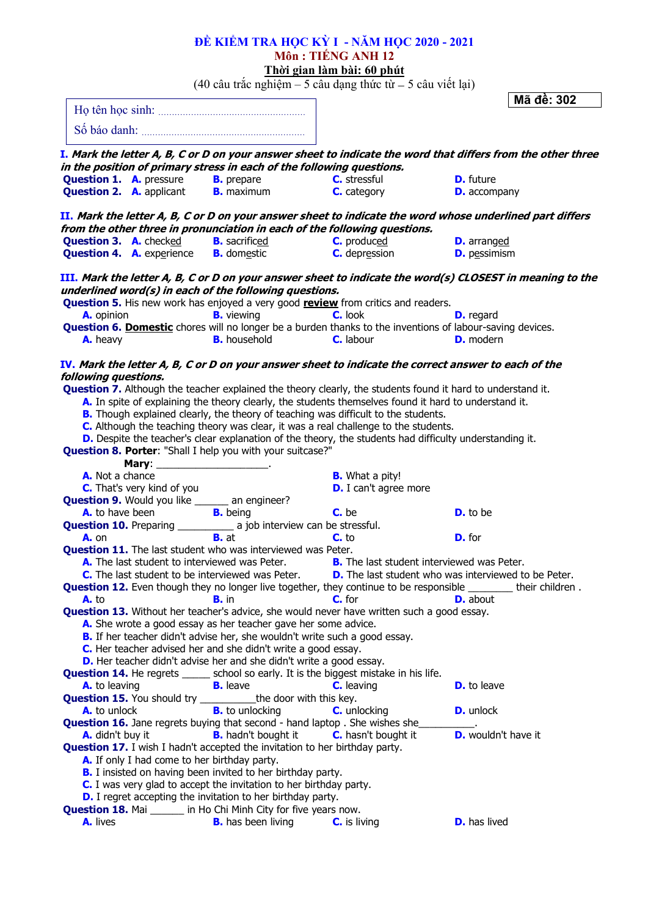|                      |                                    |                                                                                                                                                                                                                                      | ĐỀ KIẾM TRA HỌC KỪ I - NĂM HỌC 2020 - 2021                                                                          |                                                                                                                        |
|----------------------|------------------------------------|--------------------------------------------------------------------------------------------------------------------------------------------------------------------------------------------------------------------------------------|---------------------------------------------------------------------------------------------------------------------|------------------------------------------------------------------------------------------------------------------------|
|                      |                                    |                                                                                                                                                                                                                                      | Môn : TIẾNG ANH 12                                                                                                  |                                                                                                                        |
|                      |                                    |                                                                                                                                                                                                                                      | Thời gian làm bài: 60 phút<br>$(40 \text{ câu trắc nghiệm} - 5 \text{ câu dạng thức từ} - 5 \text{ câu viết lại})$  |                                                                                                                        |
|                      |                                    |                                                                                                                                                                                                                                      |                                                                                                                     | Mã đề: 302                                                                                                             |
|                      |                                    |                                                                                                                                                                                                                                      |                                                                                                                     |                                                                                                                        |
|                      |                                    | Số báo danh: <b>Martin Martin Martin Martin Martin Martin Martin Martin Martin Martin Martin Martin Martin Martin Martin Martin Martin Martin Martin Martin Martin Martin Martin Martin Martin Martin Martin Martin Martin Marti</b> |                                                                                                                     |                                                                                                                        |
|                      |                                    |                                                                                                                                                                                                                                      |                                                                                                                     |                                                                                                                        |
|                      |                                    |                                                                                                                                                                                                                                      |                                                                                                                     | I. Mark the letter A, B, C or D on your answer sheet to indicate the word that differs from the other three            |
|                      |                                    | in the position of primary stress in each of the following questions.                                                                                                                                                                |                                                                                                                     |                                                                                                                        |
|                      |                                    | <b>Question 1. A.</b> pressure <b>B.</b> prepare <b>C.</b> stressful                                                                                                                                                                 |                                                                                                                     | <b>D.</b> future                                                                                                       |
|                      |                                    | <b>Question 2. A.</b> applicant <b>B.</b> maximum                                                                                                                                                                                    | C. category                                                                                                         | <b>D.</b> accompany                                                                                                    |
|                      |                                    |                                                                                                                                                                                                                                      |                                                                                                                     | II. Mark the letter A, B, C or D on your answer sheet to indicate the word whose underlined part differs               |
|                      |                                    | from the other three in pronunciation in each of the following questions.                                                                                                                                                            |                                                                                                                     |                                                                                                                        |
|                      |                                    | <b>Question 3. A.</b> checked <b>B.</b> sacrificed <b>C.</b> produced                                                                                                                                                                |                                                                                                                     | <b>D.</b> arranged                                                                                                     |
|                      |                                    | <b>Question 4. A.</b> experience <b>B.</b> domestic                                                                                                                                                                                  | <b>C.</b> depression                                                                                                | <b>D.</b> pessimism                                                                                                    |
|                      |                                    |                                                                                                                                                                                                                                      |                                                                                                                     | III. Mark the letter A, B, C or D on your answer sheet to indicate the word(s) CLOSEST in meaning to the               |
|                      |                                    | underlined word(s) in each of the following questions.                                                                                                                                                                               |                                                                                                                     |                                                                                                                        |
|                      |                                    |                                                                                                                                                                                                                                      | <b>Question 5.</b> His new work has enjoyed a very good <b>review</b> from critics and readers.                     |                                                                                                                        |
| A. opinion           |                                    | <b>B.</b> viewing                                                                                                                                                                                                                    | C. look                                                                                                             | <b>D.</b> regard                                                                                                       |
|                      |                                    |                                                                                                                                                                                                                                      | Question 6. Domestic chores will no longer be a burden thanks to the inventions of labour-saving devices.           |                                                                                                                        |
| A. heavy             |                                    | <b>B.</b> household                                                                                                                                                                                                                  | <b>C.</b> labour                                                                                                    | <b>D.</b> modern                                                                                                       |
|                      |                                    |                                                                                                                                                                                                                                      |                                                                                                                     |                                                                                                                        |
|                      |                                    |                                                                                                                                                                                                                                      | IV. Mark the letter A, B, C or D on your answer sheet to indicate the correct answer to each of the                 |                                                                                                                        |
| following questions. |                                    |                                                                                                                                                                                                                                      | <b>Question 7.</b> Although the teacher explained the theory clearly, the students found it hard to understand it.  |                                                                                                                        |
|                      |                                    |                                                                                                                                                                                                                                      | A. In spite of explaining the theory clearly, the students themselves found it hard to understand it.               |                                                                                                                        |
|                      |                                    |                                                                                                                                                                                                                                      | B. Though explained clearly, the theory of teaching was difficult to the students.                                  |                                                                                                                        |
|                      |                                    |                                                                                                                                                                                                                                      | C. Although the teaching theory was clear, it was a real challenge to the students.                                 |                                                                                                                        |
|                      |                                    |                                                                                                                                                                                                                                      | D. Despite the teacher's clear explanation of the theory, the students had difficulty understanding it.             |                                                                                                                        |
|                      |                                    | Question 8. Porter: "Shall I help you with your suitcase?"                                                                                                                                                                           |                                                                                                                     |                                                                                                                        |
|                      | Mary: ____________________________ |                                                                                                                                                                                                                                      |                                                                                                                     |                                                                                                                        |
| A. Not a chance      |                                    |                                                                                                                                                                                                                                      | <b>B.</b> What a pity!                                                                                              |                                                                                                                        |
|                      | <b>C.</b> That's very kind of you  |                                                                                                                                                                                                                                      | <b>D.</b> I can't agree more                                                                                        |                                                                                                                        |
|                      |                                    | <b>Question 9.</b> Would you like ______ an engineer?                                                                                                                                                                                |                                                                                                                     |                                                                                                                        |
|                      | A. to have been                    | <b>B.</b> being                                                                                                                                                                                                                      | C. be                                                                                                               | <b>D.</b> to be                                                                                                        |
|                      |                                    | <b>Question 10.</b> Preparing _____________ a job interview can be stressful.                                                                                                                                                        |                                                                                                                     |                                                                                                                        |
| A. on                |                                    | <b>B.</b> at                                                                                                                                                                                                                         | $C_{1}$ to                                                                                                          | <b>D.</b> for                                                                                                          |
|                      |                                    | <b>Question 11.</b> The last student who was interviewed was Peter.                                                                                                                                                                  | A. The last student to interviewed was Peter. B. The last student interviewed was Peter.                            |                                                                                                                        |
|                      |                                    |                                                                                                                                                                                                                                      | <b>C.</b> The last student to be interviewed was Peter. <b>D.</b> The last student who was interviewed to be Peter. |                                                                                                                        |
|                      |                                    |                                                                                                                                                                                                                                      |                                                                                                                     | <b>Question 12.</b> Even though they no longer live together, they continue to be responsible ________ their children. |
| $A.$ to              |                                    | <b>B.</b> in                                                                                                                                                                                                                         | $C.$ for                                                                                                            | <b>D.</b> about                                                                                                        |
|                      |                                    |                                                                                                                                                                                                                                      | <b>Question 13.</b> Without her teacher's advice, she would never have written such a good essay.                   |                                                                                                                        |
|                      |                                    | A. She wrote a good essay as her teacher gave her some advice.                                                                                                                                                                       |                                                                                                                     |                                                                                                                        |
|                      |                                    | B. If her teacher didn't advise her, she wouldn't write such a good essay.                                                                                                                                                           |                                                                                                                     |                                                                                                                        |
|                      |                                    | C. Her teacher advised her and she didn't write a good essay.                                                                                                                                                                        |                                                                                                                     |                                                                                                                        |
|                      |                                    | D. Her teacher didn't advise her and she didn't write a good essay.                                                                                                                                                                  |                                                                                                                     |                                                                                                                        |
|                      |                                    |                                                                                                                                                                                                                                      | <b>Question 14.</b> He regrets _____ school so early. It is the biggest mistake in his life.                        | <b>D.</b> to leave                                                                                                     |
| A. to leaving        | <b>B.</b> leave                    | <b>Question 15.</b> You should try ____________the door with this key.                                                                                                                                                               | <b>C.</b> leaving                                                                                                   |                                                                                                                        |
| <b>A.</b> to unlock  |                                    | <b>B.</b> to unlocking                                                                                                                                                                                                               | <b>C.</b> unlocking                                                                                                 | <b>D.</b> unlock                                                                                                       |
|                      |                                    |                                                                                                                                                                                                                                      | <b>Question 16.</b> Jane regrets buying that second - hand laptop . She wishes she                                  |                                                                                                                        |
| A. didn't buy it     |                                    | <b>B.</b> hadn't bought it                                                                                                                                                                                                           | <b>C.</b> hasn't bought it                                                                                          | <b>D.</b> wouldn't have it                                                                                             |
|                      |                                    | <b>Question 17.</b> I wish I hadn't accepted the invitation to her birthday party.                                                                                                                                                   |                                                                                                                     |                                                                                                                        |
|                      |                                    | A. If only I had come to her birthday party.                                                                                                                                                                                         |                                                                                                                     |                                                                                                                        |
|                      |                                    | <b>B.</b> I insisted on having been invited to her birthday party.                                                                                                                                                                   |                                                                                                                     |                                                                                                                        |
|                      |                                    | C. I was very glad to accept the invitation to her birthday party.                                                                                                                                                                   |                                                                                                                     |                                                                                                                        |
|                      |                                    | <b>D.</b> I regret accepting the invitation to her birthday party.                                                                                                                                                                   |                                                                                                                     |                                                                                                                        |
|                      |                                    | <b>Question 18.</b> Mai ______ in Ho Chi Minh City for five years now.                                                                                                                                                               |                                                                                                                     |                                                                                                                        |
| A. lives             |                                    | <b>B.</b> has been living                                                                                                                                                                                                            | <b>C.</b> is living                                                                                                 | <b>D.</b> has lived                                                                                                    |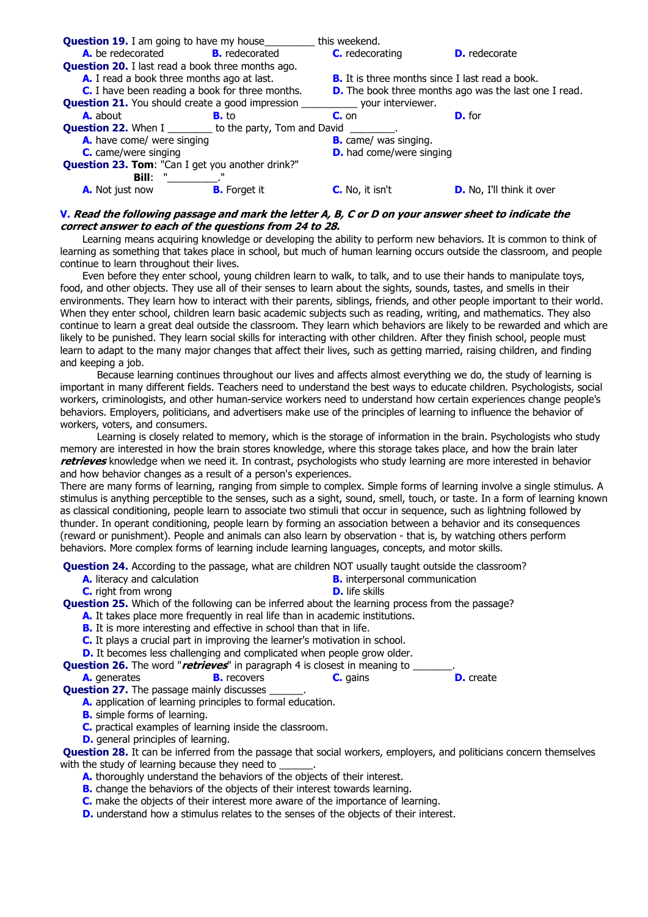

# **V. Read the following passage and mark the letter A, B, C or D on your answer sheet to indicate the correct answer to each of the questions from 24 to 28.**

Learning means acquiring knowledge or developing the ability to perform new behaviors. It is common to think of learning as something that takes place in school, but much of human learning occurs outside the classroom, and people continue to learn throughout their lives.

Even before they enter school, young children learn to walk, to talk, and to use their hands to manipulate toys, food, and other objects. They use all of their senses to learn about the sights, sounds, tastes, and smells in their environments. They learn how to interact with their parents, siblings, friends, and other people important to their world. When they enter school, children learn basic academic subjects such as reading, writing, and mathematics. They also continue to learn a great deal outside the classroom. They learn which behaviors are likely to be rewarded and which are likely to be punished. They learn social skills for interacting with other children. After they finish school, people must learn to adapt to the many major changes that affect their lives, such as getting married, raising children, and finding and keeping a job.

Because learning continues throughout our lives and affects almost everything we do, the study of learning is important in many different fields. Teachers need to understand the best ways to educate children. Psychologists, social workers, criminologists, and other human-service workers need to understand how certain experiences change people's behaviors. Employers, politicians, and advertisers make use of the principles of learning to influence the behavior of workers, voters, and consumers.

Learning is closely related to memory, which is the storage of information in the brain. Psychologists who study memory are interested in how the brain stores knowledge, where this storage takes place, and how the brain later **retrieves** knowledge when we need it. In contrast, psychologists who study learning are more interested in behavior and how behavior changes as a result of a person's experiences.

There are many forms of learning, ranging from simple to complex. Simple forms of learning involve a single stimulus. A stimulus is anything perceptible to the senses, such as a sight, sound, smell, touch, or taste. In a form of learning known as classical conditioning, people learn to associate two stimuli that occur in sequence, such as lightning followed by thunder. In operant conditioning, people learn by forming an association between a behavior and its consequences (reward or punishment). People and animals can also learn by observation - that is, by watching others perform behaviors. More complex forms of learning include learning languages, concepts, and motor skills.

**Question 24.** According to the passage, what are children NOT usually taught outside the classroom?

- **A.** literacy and calculation **B.** interpersonal communication
- 
- **C.** right from wrong **D.** life skills
- 

**Question 25.** Which of the following can be inferred about the learning process from the passage?

- **A.** It takes place more frequently in real life than in academic institutions.
- **B.** It is more interesting and effective in school than that in life.
- **C.** It plays a crucial part in improving the learner's motivation in school.
- **D.** It becomes less challenging and complicated when people grow older.

**Question 26.** The word "*retrieves*" in paragraph 4 is closest in meaning to \_\_\_\_\_\_\_.<br> **A.** generates **B.** recovers **C.** gains **D.** create **A.** generates **B.** recovers **C.** gains

**Question 27.** The passage mainly discusses

**A.** application of learning principles to formal education.

- **B.** simple forms of learning.
- **C.** practical examples of learning inside the classroom.
- **D.** general principles of learning.

**Question 28.** It can be inferred from the passage that social workers, employers, and politicians concern themselves with the study of learning because they need to

- A. thoroughly understand the behaviors of the objects of their interest.
- **B.** change the behaviors of the objects of their interest towards learning.
- **C.** make the objects of their interest more aware of the importance of learning.
- **D.** understand how a stimulus relates to the senses of the objects of their interest.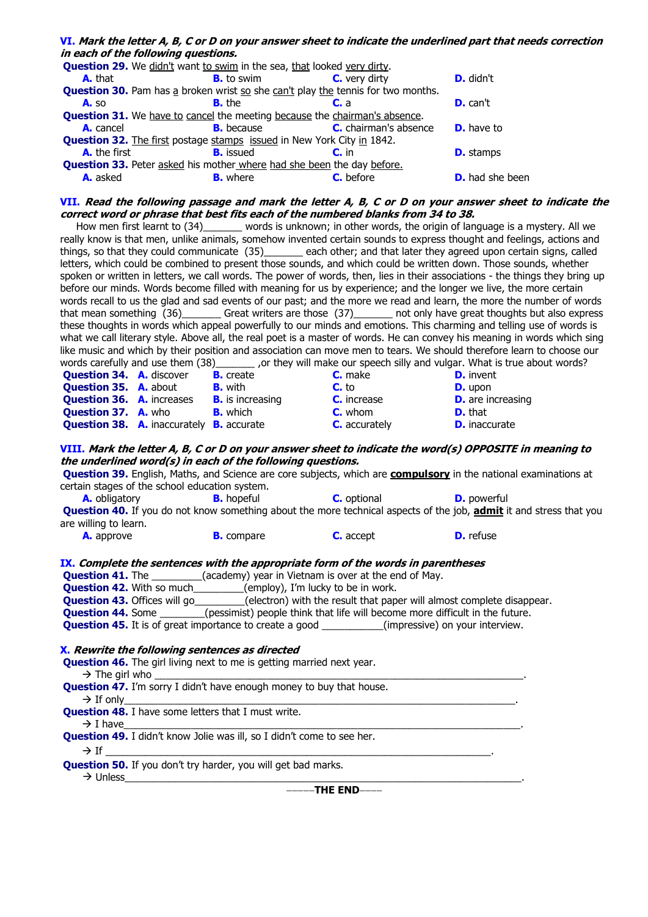# **VI. Mark the letter A, B, C or D on your answer sheet to indicate the underlined part that needs correction in each of the following questions.**

| <b>Question 29.</b> We didn't want to swim in the sea, that looked very dirty.          |                   |                              |                        |  |
|-----------------------------------------------------------------------------------------|-------------------|------------------------------|------------------------|--|
| <b>A.</b> that                                                                          | <b>B.</b> to swim | C. very dirty                | <b>D.</b> didn't       |  |
| <b>Question 30.</b> Pam has a broken wrist so she can't play the tennis for two months. |                   |                              |                        |  |
| <b>A.</b> so                                                                            | <b>B.</b> the     | $Cr$ a                       | <b>D.</b> can't        |  |
| <b>Question 31.</b> We have to cancel the meeting because the chairman's absence.       |                   |                              |                        |  |
| A. cancel                                                                               | <b>B.</b> because | <b>C.</b> chairman's absence | <b>D.</b> have to      |  |
| <b>Question 32.</b> The first postage stamps issued in New York City in 1842.           |                   |                              |                        |  |
| A. the first                                                                            | <b>B.</b> issued  | $C.$ in                      | <b>D.</b> stamps       |  |
| <b>Question 33.</b> Peter asked his mother where had she been the day before.           |                   |                              |                        |  |
| A. asked                                                                                | <b>B.</b> where   | C. before                    | <b>D.</b> had she been |  |

#### **VII. Read the following passage and mark the letter A, B, C or D on your answer sheet to indicate the correct word or phrase that best fits each of the numbered blanks from 34 to 38.**

How men first learnt to (34)\_\_\_\_\_\_\_ words is unknown; in other words, the origin of language is a mystery. All we really know is that men, unlike animals, somehow invented certain sounds to express thought and feelings, actions and things, so that they could communicate (35)\_\_\_\_\_\_\_ each other; and that later they agreed upon certain signs, called letters, which could be combined to present those sounds, and which could be written down. Those sounds, whether spoken or written in letters, we call words. The power of words, then, lies in their associations - the things they bring up before our minds. Words become filled with meaning for us by experience; and the longer we live, the more certain words recall to us the glad and sad events of our past; and the more we read and learn, the more the number of words that mean something (36)\_\_\_\_\_\_\_ Great writers are those (37)\_\_\_\_\_\_\_ not only have great thoughts but also express these thoughts in words which appeal powerfully to our minds and emotions. This charming and telling use of words is what we call literary style. Above all, the real poet is a master of words. He can convey his meaning in words which sing like music and which by their position and association can move men to tears. We should therefore learn to choose our words carefully and use them (38)\_\_\_\_\_\_\_\_\_ , or they will make our speech silly and vulgar. What is true or they will make our speech silly and vulgar. What is true about words? **Question 34. A.** discover **B.** create **C.** make **D.** invent **Question 35. A.** about **B.** with **C.** to **D.** upon **Question 36.** A. increases **B.** is increasing **C.** increase **D.** are increasing **Question 37. A.** who **B.** which **C.** whom **D.** that **Question 38. A.** inaccurately **B.** accurate **C.** accurately **D.** inaccurate **VIII. Mark the letter A, B, C or D on your answer sheet to indicate the word(s) OPPOSITE in meaning to the underlined word(s) in each of the following questions. Question 39.** English, Maths, and Science are core subjects, which are **compulsory** in the national examinations at certain stages of the school education system. **A.** obligatory **B.** hopeful **C.** optional **D.** powerful **Question 40.** If you do not know something about the more technical aspects of the job, **admit** it and stress that you are willing to learn. **A.** approve **B.** compare **C.** accept **D.** refuse **IX. Complete the sentences with the appropriate form of the words in parentheses**

# **Question 41.** The \_\_\_\_\_\_\_\_\_(academy) year in Vietnam is over at the end of May.

**Question 42.** With so much\_\_\_\_\_\_\_\_(employ), I'm lucky to be in work.

**Question 43.** Offices will go\_\_\_\_\_\_\_\_\_(electron) with the result that paper will almost complete disappear.

**Question 44.** Some \_\_\_\_\_\_\_(pessimist) people think that life will become more difficult in the future.

**Question 45.** It is of great importance to create a good \_\_\_\_\_\_\_\_\_\_(impressive) on your interview.

#### **X. Rewrite the following sentences as directed**

 **Question 46.** The girl living next to me is getting married next year.

 $\rightarrow$  The girl who **Question 47.** I'm sorry I didn't have enough money to buy that house. If only\_\_\_\_\_\_\_\_\_\_\_\_\_\_\_\_\_\_\_\_\_\_\_\_\_\_\_\_\_\_\_\_\_\_\_\_\_\_\_\_\_\_\_\_\_\_\_\_\_\_\_\_\_\_\_\_\_\_\_\_\_\_\_\_\_\_\_\_\_\_. **Question 48.** I have some letters that I must write. I have\_\_\_\_\_\_\_\_\_\_\_\_\_\_\_\_\_\_\_\_\_\_\_\_\_\_\_\_\_\_\_\_\_\_\_\_\_\_\_\_\_\_\_\_\_\_\_\_\_\_\_\_\_\_\_\_\_\_\_\_\_\_\_\_\_\_\_\_\_\_\_. **Ouestion 49.** I didn't know Jolie was ill, so I didn't come to see her. If \_\_\_\_\_\_\_\_\_\_\_\_\_\_\_\_\_\_\_\_\_\_\_\_\_\_\_\_\_\_\_\_\_\_\_\_\_\_\_\_\_\_\_\_\_\_\_\_\_\_\_\_\_\_\_\_\_\_\_\_\_\_\_\_\_\_\_\_\_.

# **Question 50.** If you don't try harder, you will get bad marks.

Unless\_\_\_\_\_\_\_\_\_\_\_\_\_\_\_\_\_\_\_\_\_\_\_\_\_\_\_\_\_\_\_\_\_\_\_\_\_\_\_\_\_\_\_\_\_\_\_\_\_\_\_\_\_\_\_\_\_\_\_\_\_\_\_\_\_\_\_\_\_\_\_.

--THE **END**----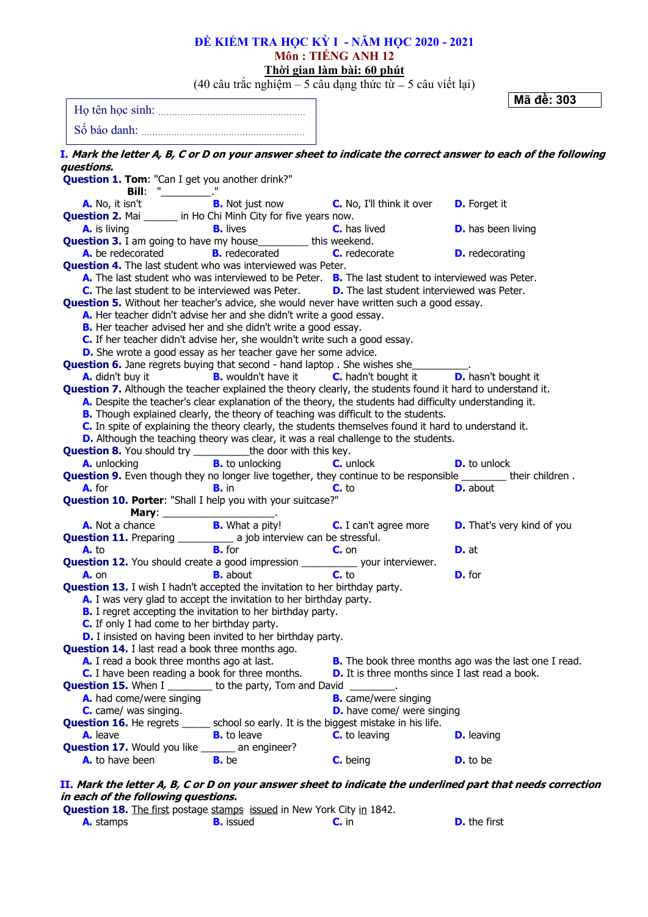|                                                                                                                                                                                                                 |                            | Môn: TIÊNG ANH 12<br><u>Thời gian làm bài: 60 phút</u>                               |                           |                                   |
|-----------------------------------------------------------------------------------------------------------------------------------------------------------------------------------------------------------------|----------------------------|--------------------------------------------------------------------------------------|---------------------------|-----------------------------------|
|                                                                                                                                                                                                                 |                            | $(40 \text{ câu trắc nghiên} - 5 \text{ câu dạng thức từ} - 5 \text{ câu viết lại})$ |                           | Mã đề: 303                        |
|                                                                                                                                                                                                                 |                            |                                                                                      |                           |                                   |
|                                                                                                                                                                                                                 |                            |                                                                                      |                           |                                   |
| I. Mark the letter A, B, C or D on your answer sheet to indicate the correct answer to each of the following                                                                                                    |                            |                                                                                      |                           |                                   |
| questions.                                                                                                                                                                                                      |                            |                                                                                      |                           |                                   |
| Question 1. Tom: "Can I get you another drink?"                                                                                                                                                                 |                            |                                                                                      |                           |                                   |
| <b>A.</b> No, it isn't<br><b>Question 2. Mai _____ in Ho Chi Minh City for five years now.</b>                                                                                                                  |                            | <b>Bill:</b> $\frac{m}{B}$ . Not just now <b>C.</b> No, I'll think it over           | <b>D.</b> Forget it       |                                   |
| <b>A.</b> is living                                                                                                                                                                                             | <b>B.</b> lives            | <b>C.</b> has lived                                                                  | <b>D.</b> has been living |                                   |
| <b>Question 3.</b> I am going to have my house__________ this weekend.                                                                                                                                          |                            |                                                                                      |                           |                                   |
| A. be redecorated <b>B.</b> redecorated                                                                                                                                                                         |                            | C. redecorate                                                                        | <b>D.</b> redecorating    |                                   |
| <b>Question 4.</b> The last student who was interviewed was Peter.                                                                                                                                              |                            |                                                                                      |                           |                                   |
| A. The last student who was interviewed to be Peter. B. The last student to interviewed was Peter.<br><b>C.</b> The last student to be interviewed was Peter. <b>D.</b> The last student interviewed was Peter. |                            |                                                                                      |                           |                                   |
| <b>Question 5.</b> Without her teacher's advice, she would never have written such a good essay.                                                                                                                |                            |                                                                                      |                           |                                   |
| A. Her teacher didn't advise her and she didn't write a good essay.                                                                                                                                             |                            |                                                                                      |                           |                                   |
| B. Her teacher advised her and she didn't write a good essay.                                                                                                                                                   |                            |                                                                                      |                           |                                   |
| C. If her teacher didn't advise her, she wouldn't write such a good essay.                                                                                                                                      |                            |                                                                                      |                           |                                   |
| D. She wrote a good essay as her teacher gave her some advice.                                                                                                                                                  |                            |                                                                                      |                           |                                   |
| <b>Question 6.</b> Jane regrets buying that second - hand laptop . She wishes she________                                                                                                                       |                            |                                                                                      |                           |                                   |
| <b>A.</b> didn't buy it                                                                                                                                                                                         | <b>B.</b> wouldn't have it | <b>C.</b> hadn't bought it <b>D.</b> hasn't bought it                                |                           |                                   |
| Question 7. Although the teacher explained the theory clearly, the students found it hard to understand it.                                                                                                     |                            |                                                                                      |                           |                                   |
| A. Despite the teacher's clear explanation of the theory, the students had difficulty understanding it.<br>B. Though explained clearly, the theory of teaching was difficult to the students.                   |                            |                                                                                      |                           |                                   |
| C. In spite of explaining the theory clearly, the students themselves found it hard to understand it.                                                                                                           |                            |                                                                                      |                           |                                   |
| D. Although the teaching theory was clear, it was a real challenge to the students.                                                                                                                             |                            |                                                                                      |                           |                                   |
| <b>Question 8.</b> You should try ____________ the door with this key.                                                                                                                                          |                            |                                                                                      |                           |                                   |
| A. unlocking                                                                                                                                                                                                    | <b>B.</b> to unlocking     | <b>C.</b> unlock                                                                     | <b>D.</b> to unlock       |                                   |
| Question 9. Even though they no longer live together, they continue to be responsible ________ their children.                                                                                                  |                            |                                                                                      |                           |                                   |
| A. for<br><b>B.</b> in                                                                                                                                                                                          |                            | $C.$ to                                                                              | <b>D.</b> about           |                                   |
| Question 10. Porter: "Shall I help you with your suitcase?"                                                                                                                                                     |                            |                                                                                      |                           |                                   |
| <b>A.</b> Not a chance                                                                                                                                                                                          |                            | <b>Mary:</b> $\frac{B. What a pity!}{B. What a pity!}$ <b>C.</b> I can't agree more  |                           | <b>D.</b> That's very kind of you |
| <b>Question 11.</b> Preparing ______________ a job interview can be stressful.                                                                                                                                  |                            |                                                                                      |                           |                                   |
| <b>B.</b> for<br>A. to                                                                                                                                                                                          |                            | $C_{1}$ on                                                                           | <b>D.</b> at              |                                   |
| <b>Question 12.</b> You should create a good impression _____________ your interviewer.                                                                                                                         |                            |                                                                                      |                           |                                   |
| <b>B.</b> about<br><b>A.</b> on                                                                                                                                                                                 |                            | $C.$ to                                                                              | D. for                    |                                   |
| <b>Question 13.</b> I wish I hadn't accepted the invitation to her birthday party.                                                                                                                              |                            |                                                                                      |                           |                                   |
| A. I was very glad to accept the invitation to her birthday party.                                                                                                                                              |                            |                                                                                      |                           |                                   |
| <b>B.</b> I regret accepting the invitation to her birthday party.                                                                                                                                              |                            |                                                                                      |                           |                                   |
| <b>C.</b> If only I had come to her birthday party.                                                                                                                                                             |                            |                                                                                      |                           |                                   |
| <b>D.</b> I insisted on having been invited to her birthday party.                                                                                                                                              |                            |                                                                                      |                           |                                   |
| <b>Question 14.</b> I last read a book three months ago.<br>A. I read a book three months ago at last.                                                                                                          |                            | <b>B.</b> The book three months ago was the last one I read.                         |                           |                                   |
| <b>C.</b> I have been reading a book for three months.                                                                                                                                                          |                            | <b>D.</b> It is three months since I last read a book.                               |                           |                                   |
| <b>Question 15.</b> When I _________ to the party, Tom and David ________.                                                                                                                                      |                            |                                                                                      |                           |                                   |
| A. had come/were singing                                                                                                                                                                                        |                            | <b>B.</b> came/were singing                                                          |                           |                                   |
| <b>C.</b> came/ was singing.                                                                                                                                                                                    |                            | <b>D.</b> have come/ were singing                                                    |                           |                                   |
| <b>Question 16.</b> He regrets _____ school so early. It is the biggest mistake in his life.                                                                                                                    |                            |                                                                                      |                           |                                   |
| A. leave                                                                                                                                                                                                        | <b>B.</b> to leave         | <b>C.</b> to leaving                                                                 | <b>D.</b> leaving         |                                   |
| Question 17. Would you like ______ an engineer?                                                                                                                                                                 |                            |                                                                                      |                           |                                   |
| A. to have been<br><b>B.</b> be                                                                                                                                                                                 |                            | C. being                                                                             | <b>D.</b> to be           |                                   |

**ĐỀ KIỂM TRA HỌC KỲ I - NĂM HỌC 2020 - 2021**

**II. Mark the letter A, B, C or D on your answer sheet to indicate the underlined part that needs correction in each of the following questions.**

|                  | <b>Question 18.</b> The first postage stamps issued in New York City in 1842. |         |                     |
|------------------|-------------------------------------------------------------------------------|---------|---------------------|
| <b>A.</b> stamps | <b>B.</b> issued                                                              | $C.$ in | <b>D.</b> the first |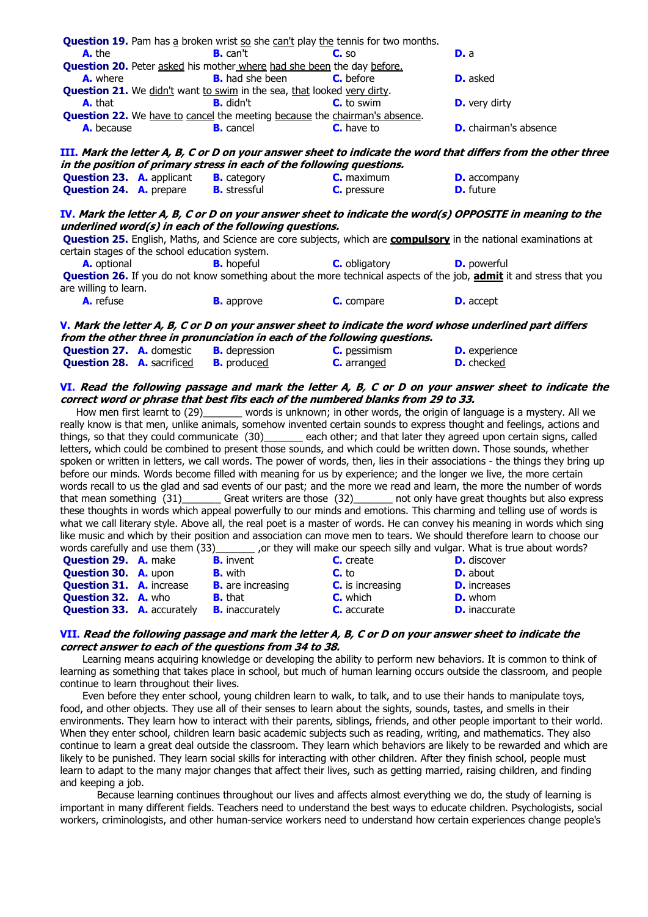|                                                |  | <b>Question 19.</b> Pam has a broken wrist so she can't play the tennis for two months. |                                                                                  |                                                                                                                                                                                                                                   |  |
|------------------------------------------------|--|-----------------------------------------------------------------------------------------|----------------------------------------------------------------------------------|-----------------------------------------------------------------------------------------------------------------------------------------------------------------------------------------------------------------------------------|--|
| A. the                                         |  | $B.$ can't                                                                              | C.50                                                                             | D. a                                                                                                                                                                                                                              |  |
|                                                |  | <b>Question 20.</b> Peter asked his mother where had she been the day before.           |                                                                                  |                                                                                                                                                                                                                                   |  |
| A. where                                       |  | <b>B.</b> had she been                                                                  | C. before                                                                        | <b>D.</b> asked                                                                                                                                                                                                                   |  |
|                                                |  | <b>Question 21.</b> We didn't want to swim in the sea, that looked very dirty.          |                                                                                  |                                                                                                                                                                                                                                   |  |
| <b>A.</b> that                                 |  | <b>B.</b> didn't                                                                        | <b>C.</b> to swim                                                                | <b>D.</b> very dirty                                                                                                                                                                                                              |  |
|                                                |  | <b>Question 22.</b> We have to cancel the meeting because the chairman's absence.       |                                                                                  |                                                                                                                                                                                                                                   |  |
| A. because                                     |  | <b>B.</b> cancel                                                                        | <b>C.</b> have to                                                                | <b>D.</b> chairman's absence                                                                                                                                                                                                      |  |
|                                                |  |                                                                                         |                                                                                  |                                                                                                                                                                                                                                   |  |
|                                                |  |                                                                                         |                                                                                  | III. Mark the letter A, B, C or D on your answer sheet to indicate the word that differs from the other three                                                                                                                     |  |
|                                                |  | in the position of primary stress in each of the following questions.                   |                                                                                  |                                                                                                                                                                                                                                   |  |
| <b>Question 23. A. applicant</b>               |  | <b>B.</b> category                                                                      | <b>C.</b> maximum                                                                | <b>D.</b> accompany                                                                                                                                                                                                               |  |
| <b>Question 24. A.</b> prepare                 |  | <b>B.</b> stressful                                                                     | <b>C.</b> pressure                                                               | <b>D.</b> future                                                                                                                                                                                                                  |  |
|                                                |  |                                                                                         |                                                                                  |                                                                                                                                                                                                                                   |  |
|                                                |  |                                                                                         |                                                                                  | IV. Mark the letter A, B, C or D on your answer sheet to indicate the word(s) OPPOSITE in meaning to the                                                                                                                          |  |
|                                                |  | underlined word(s) in each of the following questions.                                  |                                                                                  | Question 25. English, Maths, and Science are core subjects, which are compulsory in the national examinations at                                                                                                                  |  |
| certain stages of the school education system. |  |                                                                                         |                                                                                  |                                                                                                                                                                                                                                   |  |
| A. optional                                    |  | <b>B.</b> hopeful                                                                       | <b>C.</b> obligatory                                                             | <b>D.</b> powerful                                                                                                                                                                                                                |  |
|                                                |  |                                                                                         |                                                                                  | Question 26. If you do not know something about the more technical aspects of the job, admit it and stress that you                                                                                                               |  |
| are willing to learn.                          |  |                                                                                         |                                                                                  |                                                                                                                                                                                                                                   |  |
| A. refuse                                      |  | <b>B.</b> approve                                                                       | C. compare                                                                       | <b>D.</b> accept                                                                                                                                                                                                                  |  |
|                                                |  |                                                                                         |                                                                                  |                                                                                                                                                                                                                                   |  |
|                                                |  |                                                                                         |                                                                                  |                                                                                                                                                                                                                                   |  |
|                                                |  |                                                                                         |                                                                                  |                                                                                                                                                                                                                                   |  |
|                                                |  |                                                                                         |                                                                                  | V. Mark the letter A, B, C or D on your answer sheet to indicate the word whose underlined part differs                                                                                                                           |  |
|                                                |  | from the other three in pronunciation in each of the following questions.               |                                                                                  |                                                                                                                                                                                                                                   |  |
| <b>Question 27. A. domestic</b>                |  | <b>B.</b> depression                                                                    | C. pessimism                                                                     | <b>D.</b> experience                                                                                                                                                                                                              |  |
| <b>Question 28. A. sacrificed</b>              |  | <b>B.</b> produced                                                                      | <b>C.</b> arranged                                                               | <b>D.</b> checked                                                                                                                                                                                                                 |  |
|                                                |  |                                                                                         |                                                                                  |                                                                                                                                                                                                                                   |  |
|                                                |  |                                                                                         | correct word or phrase that best fits each of the numbered blanks from 29 to 33. | VI. Read the following passage and mark the letter A, B, C or D on your answer sheet to indicate the                                                                                                                              |  |
|                                                |  |                                                                                         |                                                                                  | How men first learnt to (29) _______ words is unknown; in other words, the origin of language is a mystery. All we                                                                                                                |  |
|                                                |  |                                                                                         |                                                                                  | really know is that men, unlike animals, somehow invented certain sounds to express thought and feelings, actions and                                                                                                             |  |
|                                                |  |                                                                                         |                                                                                  |                                                                                                                                                                                                                                   |  |
|                                                |  |                                                                                         |                                                                                  | things, so that they could communicate (30) each other; and that later they agreed upon certain signs, called<br>letters, which could be combined to present those sounds, and which could be written down. Those sounds, whether |  |
|                                                |  |                                                                                         |                                                                                  | spoken or written in letters, we call words. The power of words, then, lies in their associations - the things they bring up                                                                                                      |  |
|                                                |  |                                                                                         |                                                                                  | before our minds. Words become filled with meaning for us by experience; and the longer we live, the more certain                                                                                                                 |  |
|                                                |  |                                                                                         |                                                                                  | words recall to us the glad and sad events of our past; and the more we read and learn, the more the number of words                                                                                                              |  |
|                                                |  |                                                                                         |                                                                                  | that mean something (31) Great writers are those (32) not only have great thoughts but also express                                                                                                                               |  |
|                                                |  |                                                                                         |                                                                                  | these thoughts in words which appeal powerfully to our minds and emotions. This charming and telling use of words is                                                                                                              |  |
|                                                |  |                                                                                         |                                                                                  | what we call literary style. Above all, the real poet is a master of words. He can convey his meaning in words which sing                                                                                                         |  |
|                                                |  |                                                                                         |                                                                                  | like music and which by their position and association can move men to tears. We should therefore learn to choose our                                                                                                             |  |
|                                                |  |                                                                                         |                                                                                  | words carefully and use them (33)________ , or they will make our speech silly and vulgar. What is true about words?                                                                                                              |  |
| <b>Question 29. A. make</b>                    |  | <b>B.</b> invent                                                                        | C. create                                                                        | <b>D.</b> discover                                                                                                                                                                                                                |  |
| <b>Question 30. A. upon</b>                    |  | <b>B.</b> with                                                                          | $C.$ to                                                                          | <b>D.</b> about                                                                                                                                                                                                                   |  |

#### **VII. Read the following passage and mark the letter A, B, C or D on your answer sheet to indicate the correct answer to each of the questions from 34 to 38.**

**Question 32. A.** who **B.** that **C.** which **D.** whom **Question 33. A.** accurately **B.** inaccurately **C.** accurate **D.** inaccurate

Learning means acquiring knowledge or developing the ability to perform new behaviors. It is common to think of learning as something that takes place in school, but much of human learning occurs outside the classroom, and people continue to learn throughout their lives.

Even before they enter school, young children learn to walk, to talk, and to use their hands to manipulate toys, food, and other objects. They use all of their senses to learn about the sights, sounds, tastes, and smells in their environments. They learn how to interact with their parents, siblings, friends, and other people important to their world. When they enter school, children learn basic academic subjects such as reading, writing, and mathematics. They also continue to learn a great deal outside the classroom. They learn which behaviors are likely to be rewarded and which are likely to be punished. They learn social skills for interacting with other children. After they finish school, people must learn to adapt to the many major changes that affect their lives, such as getting married, raising children, and finding and keeping a job.

Because learning continues throughout our lives and affects almost everything we do, the study of learning is important in many different fields. Teachers need to understand the best ways to educate children. Psychologists, social workers, criminologists, and other human-service workers need to understand how certain experiences change people's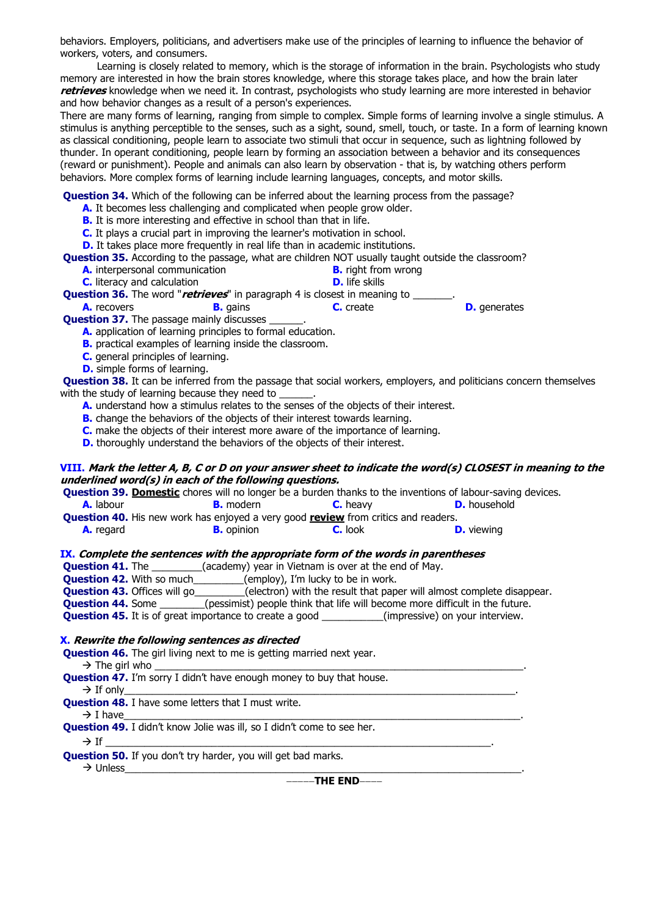behaviors. Employers, politicians, and advertisers make use of the principles of learning to influence the behavior of workers, voters, and consumers.

Learning is closely related to memory, which is the storage of information in the brain. Psychologists who study memory are interested in how the brain stores knowledge, where this storage takes place, and how the brain later **retrieves** knowledge when we need it. In contrast, psychologists who study learning are more interested in behavior and how behavior changes as a result of a person's experiences.

There are many forms of learning, ranging from simple to complex. Simple forms of learning involve a single stimulus. A stimulus is anything perceptible to the senses, such as a sight, sound, smell, touch, or taste. In a form of learning known as classical conditioning, people learn to associate two stimuli that occur in sequence, such as lightning followed by thunder. In operant conditioning, people learn by forming an association between a behavior and its consequences (reward or punishment). People and animals can also learn by observation - that is, by watching others perform behaviors. More complex forms of learning include learning languages, concepts, and motor skills.

**Question 34.** Which of the following can be inferred about the learning process from the passage?

- **A.** It becomes less challenging and complicated when people grow older.
- **B.** It is more interesting and effective in school than that in life.
- **C.** It plays a crucial part in improving the learner's motivation in school.
- **D.** It takes place more frequently in real life than in academic institutions.

**Question 35.** According to the passage, what are children NOT usually taught outside the classroom?

- **A.** interpersonal communication **B.** right from wrong
	- **C.** literacy and calculation **D.** life skills

**Question 36.** The word "*retrieves*" in paragraph 4 is closest in meaning to \_\_\_\_\_\_\_.<br>**A.** recovers **b.** gains **c.** create

**B.** gains **C.** create **D.** generates

**Question 37.** The passage mainly discusses

**A.** application of learning principles to formal education.

- **B.** practical examples of learning inside the classroom.
- **C.** general principles of learning.
- **D.** simple forms of learning.

**Question 38.** It can be inferred from the passage that social workers, employers, and politicians concern themselves with the study of learning because they need to \_\_\_\_\_\_\_\_\_\_\_\_\_\_\_\_\_\_\_\_\_\_\_\_\_\_\_\_\_\_\_\_

- **A.** understand how a stimulus relates to the senses of the objects of their interest.
- **B.** change the behaviors of the objects of their interest towards learning.
- **C.** make the objects of their interest more aware of the importance of learning.
- **D.** thoroughly understand the behaviors of the objects of their interest.

### **VIII. Mark the letter A, B, C or D on your answer sheet to indicate the word(s) CLOSEST in meaning to the underlined word(s) in each of the following questions.**

**Question 39. Domestic** chores will no longer be a burden thanks to the inventions of labour-saving devices.

| <b>A.</b> labour | <b>B.</b> modern | $C.$ heavy | <b>D.</b> household |
|------------------|------------------|------------|---------------------|
|------------------|------------------|------------|---------------------|

- **Question 40.** His new work has enjoyed a very good **review** from critics and readers.
	- **A.** regard **B.** opinion **C.** look **D.** viewing

#### **IX. Complete the sentences with the appropriate form of the words in parentheses**

**Question 41.** The **Cacademy**) year in Vietnam is over at the end of May.

**Question 42.** With so much\_\_\_\_\_\_\_\_(employ), I'm lucky to be in work.

**Question 43.** Offices will go\_\_\_\_\_\_\_\_\_(electron) with the result that paper will almost complete disappear.

**Question 44.** Some \_\_\_\_\_\_\_(pessimist) people think that life will become more difficult in the future.

**Question 45.** It is of great importance to create a good \_\_\_\_\_\_\_\_\_\_(impressive) on your interview.

#### **X. Rewrite the following sentences as directed**

**Question 46.** The girl living next to me is getting married next year.

 $\rightarrow$  The girl who

**Question 47.** I'm sorry I didn't have enough money to buy that house.

If only\_\_\_\_\_\_\_\_\_\_\_\_\_\_\_\_\_\_\_\_\_\_\_\_\_\_\_\_\_\_\_\_\_\_\_\_\_\_\_\_\_\_\_\_\_\_\_\_\_\_\_\_\_\_\_\_\_\_\_\_\_\_\_\_\_\_\_\_\_\_.

 **Question 48.** I have some letters that I must write.

I have\_\_\_\_\_\_\_\_\_\_\_\_\_\_\_\_\_\_\_\_\_\_\_\_\_\_\_\_\_\_\_\_\_\_\_\_\_\_\_\_\_\_\_\_\_\_\_\_\_\_\_\_\_\_\_\_\_\_\_\_\_\_\_\_\_\_\_\_\_\_\_.

**Ouestion 49.** I didn't know Jolie was ill, so I didn't come to see her.

#### If \_\_\_\_\_\_\_\_\_\_\_\_\_\_\_\_\_\_\_\_\_\_\_\_\_\_\_\_\_\_\_\_\_\_\_\_\_\_\_\_\_\_\_\_\_\_\_\_\_\_\_\_\_\_\_\_\_\_\_\_\_\_\_\_\_\_\_\_\_.

 **Question 50.** If you don't try harder, you will get bad marks.

Unless\_\_\_\_\_\_\_\_\_\_\_\_\_\_\_\_\_\_\_\_\_\_\_\_\_\_\_\_\_\_\_\_\_\_\_\_\_\_\_\_\_\_\_\_\_\_\_\_\_\_\_\_\_\_\_\_\_\_\_\_\_\_\_\_\_\_\_\_\_\_\_.

------THE END------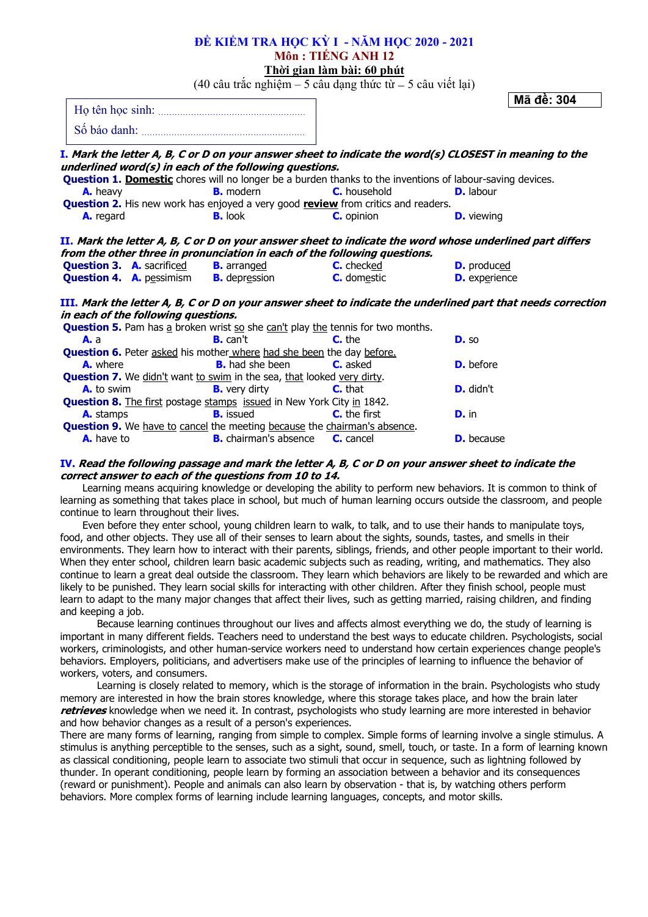# **ĐỀ KIỂM TRA HỌC KỲ I - NĂM HỌC 2020 - 2021 Môn : TIẾNG ANH 12 Thời gian làm bài: 60 phút**

(40 câu trắc nghiệm – 5 câu dạng thức từ – 5 câu viết lại)

**Mã đề: 304**

| Ho tên hoc sinh: |  |
|------------------|--|
| Số báo danh:     |  |

|                   |                                                      | underlined word(s) in each of the following questions.                                 |                                                                                                                  | <b>I.</b> Mark the letter A, B, C or D on your answer sheet to indicate the word(s) CLOSEST in meaning to the       |
|-------------------|------------------------------------------------------|----------------------------------------------------------------------------------------|------------------------------------------------------------------------------------------------------------------|---------------------------------------------------------------------------------------------------------------------|
|                   |                                                      |                                                                                        | <b>Question 1. Domestic</b> chores will no longer be a burden thanks to the inventions of labour-saving devices. |                                                                                                                     |
| A. heavy          |                                                      | <b>B.</b> modern                                                                       | <b>C.</b> household                                                                                              | <b>D.</b> labour                                                                                                    |
|                   |                                                      |                                                                                        | <b>Question 2.</b> His new work has enjoyed a very good <b>review</b> from critics and readers.                  |                                                                                                                     |
| A. regard         |                                                      | <b>B.</b> look                                                                         | <b>C.</b> opinion                                                                                                | <b>D.</b> viewing                                                                                                   |
|                   |                                                      |                                                                                        |                                                                                                                  | II. Mark the letter A, B, C or D on your answer sheet to indicate the word whose underlined part differs            |
|                   |                                                      | from the other three in pronunciation in each of the following questions.              |                                                                                                                  |                                                                                                                     |
|                   | <b>Question 3. A.</b> sacrificed                     | <b>B.</b> arranged                                                                     | <b>C.</b> checked                                                                                                | <b>D.</b> produced                                                                                                  |
|                   | <b>Question 4. A.</b> pessimism <b>B.</b> depression |                                                                                        | <b>C.</b> domestic                                                                                               | <b>D.</b> experience                                                                                                |
|                   |                                                      |                                                                                        |                                                                                                                  | <b>III. Mark the letter A, B, C or D on your answer sheet to indicate the underlined part that needs correction</b> |
|                   | in each of the following questions.                  |                                                                                        |                                                                                                                  |                                                                                                                     |
|                   |                                                      | <b>Question 5.</b> Pam has a broken wrist so she can't play the tennis for two months. |                                                                                                                  |                                                                                                                     |
| <b>A.</b> a       |                                                      | <b>B.</b> can't                                                                        | $C.$ the                                                                                                         | D. SO                                                                                                               |
|                   |                                                      | <b>Question 6.</b> Peter asked his mother where had she been the day before.           |                                                                                                                  |                                                                                                                     |
| <b>A.</b> where   |                                                      | <b>B.</b> had she been                                                                 | <b>C.</b> asked                                                                                                  | <b>D.</b> before                                                                                                    |
|                   |                                                      | <b>Question 7.</b> We didn't want to swim in the sea, that looked very dirty.          |                                                                                                                  |                                                                                                                     |
| <b>A.</b> to swim |                                                      | <b>B.</b> very dirty                                                                   | $C.$ that                                                                                                        | <b>D.</b> didn't                                                                                                    |
|                   |                                                      | <b>Question 8.</b> The first postage stamps issued in New York City in 1842.           |                                                                                                                  |                                                                                                                     |
| <b>A.</b> stamps  |                                                      | <b>B.</b> issued                                                                       | <b>C.</b> the first                                                                                              | D. in                                                                                                               |
|                   |                                                      | <b>Question 9.</b> We have to cancel the meeting because the chairman's absence.       |                                                                                                                  |                                                                                                                     |
| <b>A.</b> have to |                                                      | <b>B.</b> chairman's absence <b>C.</b> cancel                                          |                                                                                                                  | <b>D.</b> because                                                                                                   |

# **IV. Read the following passage and mark the letter A, B, C or D on your answer sheet to indicate the correct answer to each of the questions from 10 to 14.**

Learning means acquiring knowledge or developing the ability to perform new behaviors. It is common to think of learning as something that takes place in school, but much of human learning occurs outside the classroom, and people continue to learn throughout their lives.

Even before they enter school, young children learn to walk, to talk, and to use their hands to manipulate toys, food, and other objects. They use all of their senses to learn about the sights, sounds, tastes, and smells in their environments. They learn how to interact with their parents, siblings, friends, and other people important to their world. When they enter school, children learn basic academic subjects such as reading, writing, and mathematics. They also continue to learn a great deal outside the classroom. They learn which behaviors are likely to be rewarded and which are likely to be punished. They learn social skills for interacting with other children. After they finish school, people must learn to adapt to the many major changes that affect their lives, such as getting married, raising children, and finding and keeping a job.

Because learning continues throughout our lives and affects almost everything we do, the study of learning is important in many different fields. Teachers need to understand the best ways to educate children. Psychologists, social workers, criminologists, and other human-service workers need to understand how certain experiences change people's behaviors. Employers, politicians, and advertisers make use of the principles of learning to influence the behavior of workers, voters, and consumers.

Learning is closely related to memory, which is the storage of information in the brain. Psychologists who study memory are interested in how the brain stores knowledge, where this storage takes place, and how the brain later **retrieves** knowledge when we need it. In contrast, psychologists who study learning are more interested in behavior and how behavior changes as a result of a person's experiences.

There are many forms of learning, ranging from simple to complex. Simple forms of learning involve a single stimulus. A stimulus is anything perceptible to the senses, such as a sight, sound, smell, touch, or taste. In a form of learning known as classical conditioning, people learn to associate two stimuli that occur in sequence, such as lightning followed by thunder. In operant conditioning, people learn by forming an association between a behavior and its consequences (reward or punishment). People and animals can also learn by observation - that is, by watching others perform behaviors. More complex forms of learning include learning languages, concepts, and motor skills.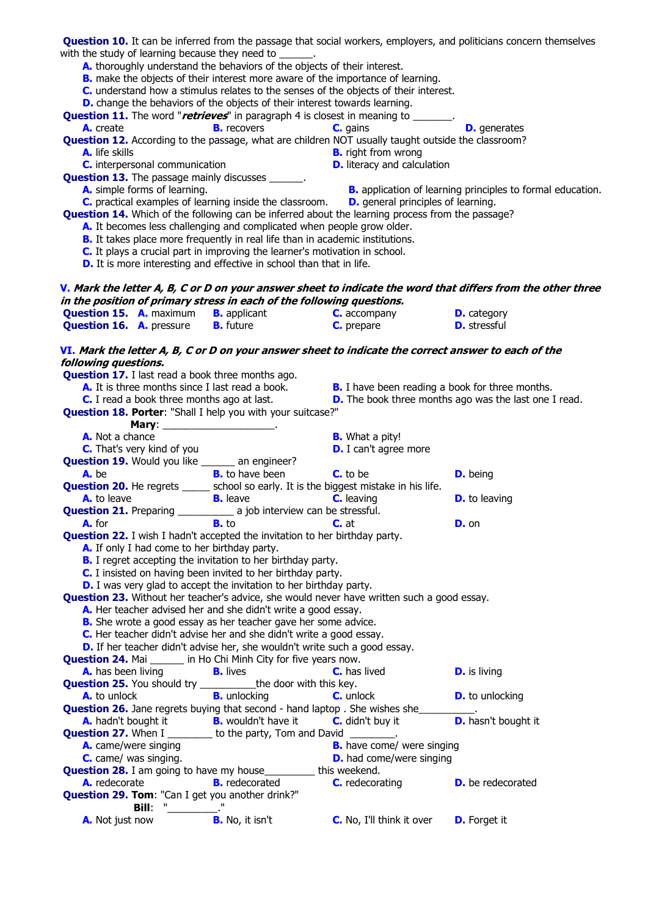| with the study of learning because they need to<br>A. thoroughly understand the behaviors of the objects of their interest.                                         |                        | B. make the objects of their interest more aware of the importance of learning.                         | Question 10. It can be inferred from the passage that social workers, employers, and politicians concern themselves |  |  |
|---------------------------------------------------------------------------------------------------------------------------------------------------------------------|------------------------|---------------------------------------------------------------------------------------------------------|---------------------------------------------------------------------------------------------------------------------|--|--|
| D. change the behaviors of the objects of their interest towards learning.                                                                                          |                        | <b>C.</b> understand how a stimulus relates to the senses of the objects of their interest.             |                                                                                                                     |  |  |
| A. create                                                                                                                                                           | <b>B.</b> recovers     | <b>Question 11.</b> The word "retrieves" in paragraph 4 is closest in meaning to ______.<br>C. gains    | <b>D.</b> generates                                                                                                 |  |  |
|                                                                                                                                                                     |                        | Question 12. According to the passage, what are children NOT usually taught outside the classroom?      |                                                                                                                     |  |  |
| <b>A.</b> life skills<br>C. interpersonal communication                                                                                                             |                        | <b>B.</b> right from wrong<br><b>D.</b> literacy and calculation                                        |                                                                                                                     |  |  |
| <b>Question 13.</b> The passage mainly discusses ______.                                                                                                            |                        |                                                                                                         |                                                                                                                     |  |  |
| A. simple forms of learning.<br>C. practical examples of learning inside the classroom.                                                                             |                        | <b>D.</b> general principles of learning.                                                               | <b>B.</b> application of learning principles to formal education.                                                   |  |  |
|                                                                                                                                                                     |                        | <b>Question 14.</b> Which of the following can be inferred about the learning process from the passage? |                                                                                                                     |  |  |
| A. It becomes less challenging and complicated when people grow older.                                                                                              |                        |                                                                                                         |                                                                                                                     |  |  |
| <b>B.</b> It takes place more frequently in real life than in academic institutions.<br>C. It plays a crucial part in improving the learner's motivation in school. |                        |                                                                                                         |                                                                                                                     |  |  |
| D. It is more interesting and effective in school than that in life.                                                                                                |                        |                                                                                                         |                                                                                                                     |  |  |
|                                                                                                                                                                     |                        |                                                                                                         | <b>V</b> . Mark the letter A, B, C or D on your answer sheet to indicate the word that differs from the other three |  |  |
| in the position of primary stress in each of the following questions.                                                                                               |                        |                                                                                                         |                                                                                                                     |  |  |
| <b>Question 15. A.</b> maximum <b>B.</b> applicant<br><b>Question 16. A.</b> pressure                                                                               | <b>B.</b> future       | C. accompany<br>C. prepare                                                                              | <b>D.</b> category<br><b>D.</b> stressful                                                                           |  |  |
|                                                                                                                                                                     |                        |                                                                                                         |                                                                                                                     |  |  |
| VI. Mark the letter A, B, C or D on your answer sheet to indicate the correct answer to each of the<br>following questions.                                         |                        |                                                                                                         |                                                                                                                     |  |  |
| <b>Question 17.</b> I last read a book three months ago.<br>A. It is three months since I last read a book.                                                         |                        | <b>B.</b> I have been reading a book for three months.                                                  |                                                                                                                     |  |  |
| C. I read a book three months ago at last.                                                                                                                          |                        |                                                                                                         | <b>D.</b> The book three months ago was the last one I read.                                                        |  |  |
| Question 18. Porter: "Shall I help you with your suitcase?"                                                                                                         |                        |                                                                                                         |                                                                                                                     |  |  |
|                                                                                                                                                                     |                        |                                                                                                         |                                                                                                                     |  |  |
| A. Not a chance<br><b>C.</b> That's very kind of you                                                                                                                |                        | <b>B.</b> What a pity!<br><b>D.</b> I can't agree more                                                  |                                                                                                                     |  |  |
| <b>Question 19.</b> Would you like ______ an engineer?                                                                                                              |                        |                                                                                                         |                                                                                                                     |  |  |
| A. be                                                                                                                                                               | <b>B.</b> to have been | <b>C.</b> to be                                                                                         | <b>D.</b> being                                                                                                     |  |  |
| <b>Question 20.</b> He regrets _____ school so early. It is the biggest mistake in his life.<br>A. to leave                                                         | <b>B.</b> leave        | <b>C.</b> leaving                                                                                       | <b>D.</b> to leaving                                                                                                |  |  |
|                                                                                                                                                                     |                        |                                                                                                         |                                                                                                                     |  |  |
|                                                                                                                                                                     |                        |                                                                                                         | <b>D.</b> on                                                                                                        |  |  |
| <b>Question 22.</b> I wish I hadn't accepted the invitation to her birthday party.<br>A. If only I had come to her birthday party.                                  |                        |                                                                                                         |                                                                                                                     |  |  |
| <b>B.</b> I regret accepting the invitation to her birthday party.<br>C. I insisted on having been invited to her birthday party.                                   |                        |                                                                                                         |                                                                                                                     |  |  |
| <b>D.</b> I was very glad to accept the invitation to her birthday party.                                                                                           |                        |                                                                                                         |                                                                                                                     |  |  |
| Question 23. Without her teacher's advice, she would never have written such a good essay.                                                                          |                        |                                                                                                         |                                                                                                                     |  |  |
| A. Her teacher advised her and she didn't write a good essay.<br>B. She wrote a good essay as her teacher gave her some advice.                                     |                        |                                                                                                         |                                                                                                                     |  |  |
| C. Her teacher didn't advise her and she didn't write a good essay.                                                                                                 |                        |                                                                                                         |                                                                                                                     |  |  |
| D. If her teacher didn't advise her, she wouldn't write such a good essay.                                                                                          |                        |                                                                                                         |                                                                                                                     |  |  |
| <b>Question 24. Mai ______</b> in Ho Chi Minh City for five years now.                                                                                              |                        |                                                                                                         |                                                                                                                     |  |  |
| <b>A.</b> has been living<br><b>Question 25.</b> You should try ___________ the door with this key.                                                                 | <b>B.</b> lives        | <b>C.</b> has lived                                                                                     | <b>D.</b> is living                                                                                                 |  |  |
| A. to unlock                                                                                                                                                        | <b>B.</b> unlocking    | <b>C.</b> unlock                                                                                        | <b>D.</b> to unlocking                                                                                              |  |  |
|                                                                                                                                                                     |                        | <b>Question 26.</b> Jane regrets buying that second - hand laptop . She wishes she                      |                                                                                                                     |  |  |
| <b>A.</b> hadn't bought it <b>B.</b> wouldn't have it <b>C.</b> didn't buy it <b>Question 27.</b> When I ________ to the party, Tom and David ________.             |                        | <b>C.</b> didn't buy it                                                                                 | <b>D.</b> hasn't bought it                                                                                          |  |  |
| A. came/were singing                                                                                                                                                |                        | <b>B.</b> have come/ were singing                                                                       |                                                                                                                     |  |  |
| C. came/ was singing.                                                                                                                                               |                        | <b>D.</b> had come/were singing                                                                         |                                                                                                                     |  |  |
| <b>Question 28.</b> I am going to have my house__________ this weekend.                                                                                             |                        |                                                                                                         |                                                                                                                     |  |  |
| A. redecorate<br>Question 29. Tom: "Can I get you another drink?"                                                                                                   | <b>B.</b> redecorated  | <b>C.</b> redecorating                                                                                  | <b>D.</b> be redecorated                                                                                            |  |  |
|                                                                                                                                                                     |                        |                                                                                                         |                                                                                                                     |  |  |
| A. Not just now                                                                                                                                                     | <b>B.</b> No, it isn't | <b>C.</b> No, I'll think it over                                                                        | <b>D.</b> Forget it                                                                                                 |  |  |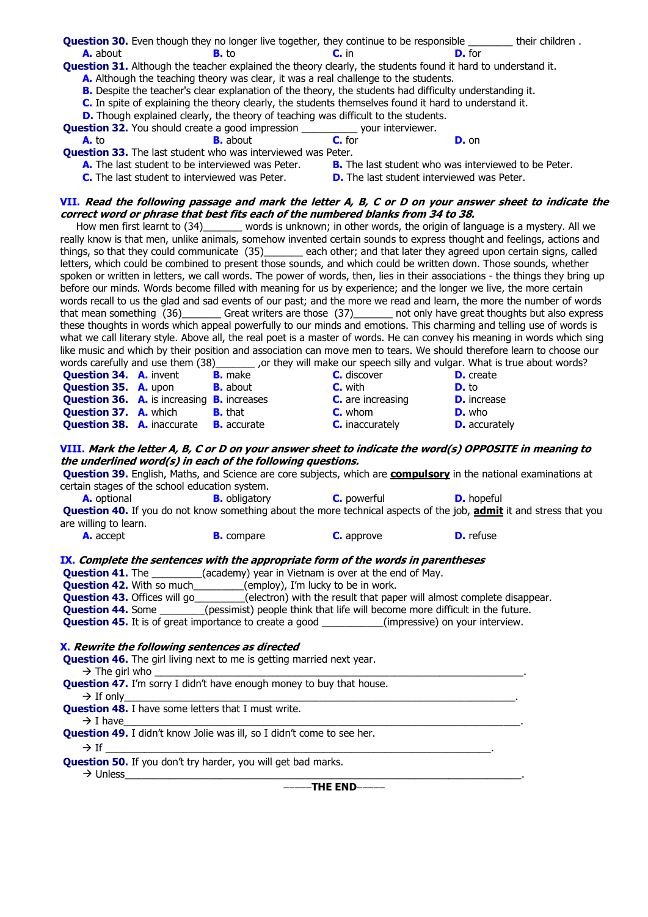**Question 30.** Even though they no longer live together, they continue to be responsible \_\_\_\_\_\_\_\_ their children . **A.** about **B.** to **C.** in **D.** for **Question 31.** Although the teacher explained the theory clearly, the students found it hard to understand it. **A.** Although the teaching theory was clear, it was a real challenge to the students. **B.** Despite the teacher's clear explanation of the theory, the students had difficulty understanding it. **C.** In spite of explaining the theory clearly, the students themselves found it hard to understand it. **D.** Though explained clearly, the theory of teaching was difficult to the students. **Question 32.** You should create a good impression \_\_\_\_\_\_\_\_\_\_\_ your interviewer.<br> **A.** to **B.** about **C.** for **A.** to **B.** about **C.** for **D.** on **Question 33.** The last student who was interviewed was Peter. **A.** The last student to be interviewed was Peter. **B.** The last student who was interviewed to be Peter. **C.** The last student to interviewed was Peter. **D.** The last student interviewed was Peter. **VII. Read the following passage and mark the letter A, B, C or D on your answer sheet to indicate the correct word or phrase that best fits each of the numbered blanks from 34 to 38.** How men first learnt to (34)\_\_\_\_\_\_\_ words is unknown; in other words, the origin of language is a mystery. All we really know is that men, unlike animals, somehow invented certain sounds to express thought and feelings, actions and things, so that they could communicate (35)\_\_\_\_\_\_\_ each other; and that later they agreed upon certain signs, called letters, which could be combined to present those sounds, and which could be written down. Those sounds, whether spoken or written in letters, we call words. The power of words, then, lies in their associations - the things they bring up before our minds. Words become filled with meaning for us by experience; and the longer we live, the more certain words recall to us the glad and sad events of our past; and the more we read and learn, the more the number of words that mean something (36)\_\_\_\_\_\_\_ Great writers are those (37)\_\_\_\_\_\_\_ not only have great thoughts but also express these thoughts in words which appeal powerfully to our minds and emotions. This charming and telling use of words is what we call literary style. Above all, the real poet is a master of words. He can convey his meaning in words which sing like music and which by their position and association can move men to tears. We should therefore learn to choose our words carefully and use them (38)\_\_\_\_\_\_\_\_ ,or they will make our speech silly and vulgar. What is true about words? **Question 34. A.** invent **B.** make **C.** discover **D.** create **Question 35. A.** upon **B.** about **C.** with **D.** to **Question 36.** A. is increasing **B.** increases **C.** are increasing **D.** increase **Question 37. A.** which **B.** that **C.** whom **D.** who **Question 38. A.** inaccurate **B.** accurate **C.** inaccurately **D.** accurately **VIII. Mark the letter A, B, C or D on your answer sheet to indicate the word(s) OPPOSITE in meaning to the underlined word(s) in each of the following questions. Question 39.** English, Maths, and Science are core subjects, which are **compulsory** in the national examinations at certain stages of the school education system. **A.** optional **B.** obligatory **C.** powerful **D.** hopeful **Question 40.** If you do not know something about the more technical aspects of the job, **admit** it and stress that you are willing to learn. **A.** accept **B.** compare **C.** approve **D.** refuse **IX. Complete the sentences with the appropriate form of the words in parentheses Question 41.** The \_\_\_\_\_\_\_\_\_(academy) year in Vietnam is over at the end of May. **Question 42.** With so much\_\_\_\_\_\_\_\_(employ), I'm lucky to be in work. **Question 43.** Offices will go\_\_\_\_\_\_\_\_\_(electron) with the result that paper will almost complete disappear. **Question 44.** Some \_\_\_\_\_\_\_\_(pessimist) people think that life will become more difficult in the future. **Question 45.** It is of great importance to create a good (impressive) on your interview. **X. Rewrite the following sentences as directed Question 46.** The girl living next to me is getting married next year.  $\rightarrow$  The girl who **Question 47.** I'm sorry I didn't have enough money to buy that house. If only\_\_\_\_\_\_\_\_\_\_\_\_\_\_\_\_\_\_\_\_\_\_\_\_\_\_\_\_\_\_\_\_\_\_\_\_\_\_\_\_\_\_\_\_\_\_\_\_\_\_\_\_\_\_\_\_\_\_\_\_\_\_\_\_\_\_\_\_\_\_. **Question 48.** I have some letters that I must write. I have\_\_\_\_\_\_\_\_\_\_\_\_\_\_\_\_\_\_\_\_\_\_\_\_\_\_\_\_\_\_\_\_\_\_\_\_\_\_\_\_\_\_\_\_\_\_\_\_\_\_\_\_\_\_\_\_\_\_\_\_\_\_\_\_\_\_\_\_\_\_\_. **Question 49.** I didn't know Jolie was ill, so I didn't come to see her. If \_\_\_\_\_\_\_\_\_\_\_\_\_\_\_\_\_\_\_\_\_\_\_\_\_\_\_\_\_\_\_\_\_\_\_\_\_\_\_\_\_\_\_\_\_\_\_\_\_\_\_\_\_\_\_\_\_\_\_\_\_\_\_\_\_\_\_\_\_. **Question 50.** If you don't try harder, you will get bad marks.  $\rightarrow$  Unless

**THE END**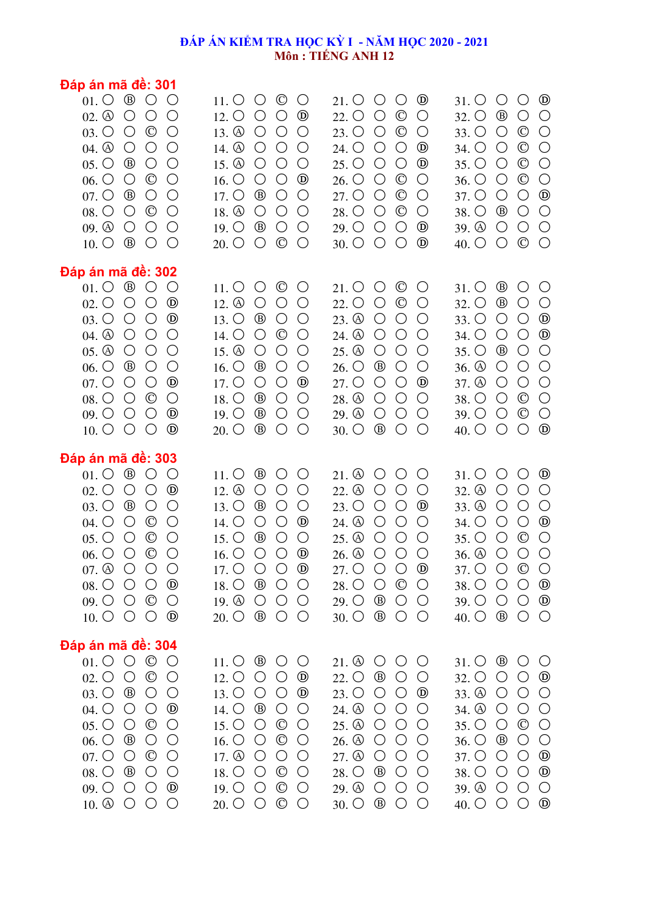# **ĐÁP ÁN KIỂM TRA HỌC KỲ I - NĂM HỌC 2020 - 2021 Môn : TIẾNG ANH 12**

| Đáp án mã đê: 301                                                                                                                                                                                                                                                                                                                                                                                                                                                                                                                                                                                                                                                                                                                                      |                                                                                                                                                                                                                                                                                                                                                                                                                                                                                                                                                                                                                                                                    |                                                                                                                                                                                                                                                                                                                                                                                                                                                                                                                                                                                                                    |                                                                                                                                                                                                                                                                                                                                                                                                                                                                                                                                                                                                                                       |
|--------------------------------------------------------------------------------------------------------------------------------------------------------------------------------------------------------------------------------------------------------------------------------------------------------------------------------------------------------------------------------------------------------------------------------------------------------------------------------------------------------------------------------------------------------------------------------------------------------------------------------------------------------------------------------------------------------------------------------------------------------|--------------------------------------------------------------------------------------------------------------------------------------------------------------------------------------------------------------------------------------------------------------------------------------------------------------------------------------------------------------------------------------------------------------------------------------------------------------------------------------------------------------------------------------------------------------------------------------------------------------------------------------------------------------------|--------------------------------------------------------------------------------------------------------------------------------------------------------------------------------------------------------------------------------------------------------------------------------------------------------------------------------------------------------------------------------------------------------------------------------------------------------------------------------------------------------------------------------------------------------------------------------------------------------------------|---------------------------------------------------------------------------------------------------------------------------------------------------------------------------------------------------------------------------------------------------------------------------------------------------------------------------------------------------------------------------------------------------------------------------------------------------------------------------------------------------------------------------------------------------------------------------------------------------------------------------------------|
| $\circledcirc$<br>$01.$ $\circlearrowright$<br>$\bigcirc$<br>$02.$ $\circledcirc$<br>$\bigcirc$<br>$\bigcirc$<br>$\bigcirc$<br>$\circledcirc$<br>$\bigcirc$<br>$03.$ $\circ$<br>$\bigcirc$<br>$\bigcirc$<br>$04.$ $\circledcirc$<br>$\bigcirc$<br>$\bigcirc$<br>$^{\circledR}$<br>$\bigcirc$<br>$\bigcirc$<br>$05.$ $\circlearrowright$<br>$\circledcirc$<br>$06.$ $\circlearrowright$<br>$\bigcirc$<br>$\bigcirc$<br>$07.$ $\circlearrowright$<br>$^{\circledR}$<br>$\bigcirc$<br>$\bigcirc$<br>$08.$ $\circlearrowright$<br>$\circledcirc$<br>$\bigcirc$<br>$\bigcirc$<br>$\bigcirc$<br>$\bigcirc$<br>$09.$ $\circled{0}$<br>$\bigcirc$<br>$^{\circledR}$<br>$10. \circlearrowright$<br>$\bigcirc$<br>$\bigcirc$                                     | $\circledcirc$<br>$\bigcirc$<br>$\bigcirc$<br>$11.$ O<br>$12. \circlearrowright$<br>$\bigcirc$<br>$\bigcirc$<br>$^{\circledR}$<br>13. $\circled{0}$<br>$\bigcirc$<br>$\bigcirc$<br>$\bigcirc$<br>$\bigcirc$<br>14. $\circled{0}$<br>$\bigcirc$<br>$\bigcirc$<br>15. $\circled{0}$<br>$\bigcirc$<br>$\bigcirc$<br>$\bigcirc$<br>$^{\circledR}$<br>16. O<br>$\bigcirc$<br>$\bigcirc$<br>$17.$ $\circlearrowright$<br>$^{\circledR}$<br>$\bigcirc$<br>$\bigcirc$<br>$18. \textcircled{4}$<br>$\bigcirc$<br>$\bigcirc$<br>$\bigcirc$<br>$^{\circledR}$<br>$\bigcirc$<br>$\bigcirc$<br>$19. \circlearrowright$<br>$\circledcirc$<br>$20.$ O<br>$\bigcirc$<br>$\bigcirc$ | $^{\circledR}$<br>O<br>$21.$ O<br>$\bigcirc$<br>$22.$ O<br>$\bigcirc$<br>$\circledcirc$<br>$\bigcirc$<br>23. O<br>$\circledcirc$<br>$\bigcirc$<br>$\bigcirc$<br>$^{\circledR}$<br>24. O<br>$\bigcirc$<br>$\bigcirc$<br>$^{\circledR}$<br>$25.$ O<br>$\bigcirc$<br>$\bigcirc$<br>26. O<br>$\bigcirc$<br>$\circledcirc$<br>$\bigcirc$<br>$27.$ O<br>$\bigcirc$<br>$_{\mathbb{C}}$<br>$\bigcirc$<br>28. O<br>$_{\mathbb{O}}$<br>$\bigcirc$<br>$\bigcirc$<br>$^{\circledR}$<br>$29.$ O<br>$\bigcirc$<br>$\bigcirc$<br>$^{\circledR}$<br>$30.$ $\circ$<br>$\bigcirc$<br>$\bigcirc$                                      | $^{\circledR}$<br>O<br>$\bigcirc$<br>$31.$ O<br>$\bigcirc$<br>$\bigcirc$<br>$32.$ O<br>$^{\circledR}$<br>$\circledcirc$<br>$\bigcirc$<br>$33.$ O<br>$\bigcirc$<br>$\circledcirc$<br>$\bigcirc$<br>$\bigcirc$<br>34. O<br>$\circledcirc$<br>$\bigcirc$<br>$\bigcirc$<br>$35.$ $\bigcirc$<br>$\circledcirc$<br>$\bigcirc$<br>$\bigcirc$<br>36. O<br>$\bigcirc$<br>$^{\circledR}$<br>37. O<br>$\bigcirc$<br>38. O<br>$^{\circledR}$<br>$\bigcirc$<br>$\bigcirc$<br>$\bigcirc$<br>$\bigcirc$<br>$39.$ $\circled{0}$<br>$\bigcirc$<br>$\circledcirc$<br>$\bigcirc$<br>$\bigcirc$<br>40. $\circ$                                            |
| Đáp án mã đề: 302<br>$01. \circ$ $\circ$ $\circ$<br>$\bigcirc$<br>$\bigcirc$<br>$\bigcirc$<br>$^{\circledR}$<br>$02.$ $\circlearrowright$<br>$\bigcirc$<br>$\bigcirc$<br>$^{\circledR}$<br>$03.$ $\circlearrowright$<br>$04.$ $\circledcirc$<br>$\bigcirc$<br>$\bigcirc$<br>$\bigcirc$<br>$05.$ $\circledcirc$<br>$\bigcirc$<br>$\bigcirc$<br>$\bigcirc$<br>$^{\circledR}$<br>$\bigcirc$<br>$\bigcirc$<br>$06.$ $\circlearrowright$<br>$^{\circledR}$<br>$07.$ $\circlearrowright$<br>$\bigcirc$<br>$\bigcirc$<br>$\bigcirc$<br>$\circledcirc$<br>$\bigcirc$<br>$08.$ $\circlearrowright$<br>$\bigcirc$<br>$^{\circledR}$<br>$09.$ $\circlearrowright$<br>$\bigcirc$<br>$\bigcirc$<br>$\bigcirc$<br>$^{\circledR}$<br>$10.$ $\circlearrowright$        | $\circledcirc$<br>$\bigcirc$<br>$\bigcirc$<br>$11. \circlearrowright$<br>12. $\circledA$<br>O<br>$\bigcirc$<br>$\bigcirc$<br>$^{\circledR}$<br>$\bigcirc$<br>$\bigcirc$<br>$13.$ $\circ$<br>$\circledcirc$<br>14. O<br>$\bigcirc$<br>$\bigcirc$<br>15. $\circledcirc$<br>$\bigcirc$<br>$\bigcirc$<br>$\bigcirc$<br>16. O<br>$^{\circledR}$<br>$\bigcirc$<br>$\bigcirc$<br>$\bigcirc$<br>$^{\circledR}$<br>17. O<br>$\bigcirc$<br>$^{\circledR}$<br>$\bigcirc$<br>$\bigcirc$<br>18. O<br>19. O<br>$^{\circledR}$<br>O<br>$\bigcirc$<br>$^{\circledR}$<br>O<br>$\bigcirc$<br>$20.$ $\circ$                                                                           | $\circledcirc$<br>$21.$ O<br>$\bigcirc$<br>$\bigcirc$<br>22. O<br>$\circledcirc$<br>$\bigcirc$<br>$\bigcirc$<br>23. $\circledA$<br>$\bigcirc$<br>$\bigcirc$<br>$\bigcirc$<br>24. <sup>a</sup><br>$\bigcirc$<br>$\bigcirc$<br>$\bigcirc$<br>$25.$ $\circledcirc$<br>$\bigcirc$<br>$\bigcirc$<br>$\bigcirc$<br>26. O<br>$^{\circledR}$<br>$\bigcirc$<br>$\bigcirc$<br>$^{\circledR}$<br>27. O<br>$\bigcirc$<br>$\bigcirc$<br>$\bigcirc$<br>$\bigcirc$<br>$\bigcirc$<br>28. <sup>a</sup><br>29. $\circledcirc$<br>O<br>O<br>$\bigcirc$<br>$^{\circledR}$<br>$\bigcirc$<br>$\bigcirc$<br>$30.$ $\circ$                 | $^{\circledR}$<br>$\bigcirc$<br>$31.$ $\circ$<br>$\bigcirc$<br>$\bigcirc$<br>$32.$ O<br>$^{\circledR}$<br>$\bigcirc$<br>$\bigcirc$<br>$^{\circledR}$<br>$33.$ $\bigcirc$<br>$\bigcirc$<br>$^{\circledR}$<br>$\bigcirc$<br>$\bigcirc$<br>34. O<br>$^{\circledR}$<br>$\bigcirc$<br>$\bigcirc$<br>$35.$ $\bigcirc$<br>$\bigcirc$<br>$36.$ $\circledcirc$<br>$\bigcirc$<br>$\bigcirc$<br>$\bigcirc$<br>$\bigcirc$<br>37. <sup>a</sup><br>$\bigcirc$<br>$\bigcirc$<br>$\circledcirc$<br>$\bigcirc$<br>38. O<br>$\circledcirc$<br>$\bigcirc$<br>$39.$ $\bigcirc$<br>$\bigcirc$<br>$\bigcirc$<br>$\bigcirc$<br>$^{\circledR}$<br>40. $\circ$ |
| Đáp án mã đề: 303<br>$01.$ $\odot$ $\odot$ $\odot$<br>$\bigcirc$<br>$\bigcirc$<br>$\bigcirc$<br>$^{\circledR}$<br>$02.$ $\circlearrowright$<br>$\bigcirc$<br>$03.$ $\circlearrowright$<br>$^{\circledR}$<br>$\bigcirc$<br>$\circledcirc$<br>$04.$ $\circlearrowright$<br>$\bigcirc$<br>$\bigcirc$<br>$05.$ $\circlearrowright$<br>$\bigcirc$<br>$\circledcirc$<br>$\bigcirc$<br>$\bigcirc$<br>$\circledcirc$<br>$\bigcirc$<br>$06.$ $\circlearrowright$<br>$07.$ $\odot$ $\odot$ $\odot$<br>$\bigcirc$<br>$^{\circledR}$<br>$08.$ $\circlearrowright$<br>$\bigcirc$<br>$\bigcirc$<br>$\circ$<br>$09.$ $\circlearrowright$<br>$\bigcirc$<br>$^{\circledR}$<br>$10. \circ \circ \circ \circ$                                                             | $^{\circledR}$<br>$\bigcirc$<br>$\bigcirc$<br>$11. \circlearrowright$<br>12. $\circledA$<br>$\bigcirc$<br>$\bigcirc$<br>$\bigcirc$<br>$^{\circledR}$<br>$\bigcirc$<br>$13. \circlearrowright$<br>O<br>$\bigcirc$<br>14. O<br>$\bigcirc$<br>$^{\circledR}$<br>$15.$ $\circ$<br>$^{\circledR}$<br>$\bigcirc$<br>O<br>$\bigcirc$<br>$^{\circledR}$<br>$16.$ $\circ$<br>$\bigcirc$<br>$^{\circledR}$<br>17. $\bigcirc$ $\bigcirc$<br>$\bigcirc$<br>$^{\circledR}$<br>$\bigcirc$<br>$18. \circlearrowright$<br>$\bigcirc$<br>$19.$ $\circledcirc$<br>$\bigcirc$<br>$\bigcirc$<br>$\bigcirc$<br>$20.$ $\circlearrowright$<br>$\circledB$<br>$\bigcirc$<br>$\bigcirc$     | $21.$ $\circledcirc$<br>$\bigcirc$<br>$\bigcirc$<br>$\bigcirc$<br>22. $\circledA$<br>$\bigcirc$<br>$\bigcirc$<br>$\bigcirc$<br>$23.$ O<br>$^{\circledR}$<br>$\bigcirc$<br>$\bigcirc$<br>24. <sup>①</sup><br>$\bigcirc$<br>$\bigcirc$<br>$\bigcirc$<br>25. $\circledcirc$<br>$\bigcirc$<br>$\bigcirc$<br>$\bigcirc$<br>$\bigcirc$<br>$26.$ $\circledcirc$<br>$\bigcirc$<br>$\bigcirc$<br>$^\circledR$<br>27. O O<br>$\bigcirc$<br>28. O<br>$\bigcirc$<br>$\circledcirc$<br>$\bigcirc$<br>$29.$ O<br>$^{\circledR}$<br>$\bigcirc$<br>$\bigcirc$<br>$30.$ O<br>$\circledB$<br>$\bigcirc$<br>$\bigcirc$                | $\bigcirc$<br>$^{\circledR}$<br>$31.$ O<br>$\bigcirc$<br>$32.$ $\circledcirc$<br>$\bigcirc$<br>$\bigcirc$<br>$\bigcirc$<br>33. <sup>a</sup><br>$\bigcirc$<br>$\bigcirc$<br>$\bigcirc$<br>$\bigcirc$<br>$^{\circledR}$<br>$\bigcirc$<br>34. O<br>$\circledcirc$<br>$\bigcirc$<br>$\bigcirc$<br>$35.$ $\circ$<br>$\bigcirc$<br>$\bigcirc$<br>$\bigcirc$<br>36. $\circled{a}$<br>$\circledcirc$<br>37. O O<br>$\bigcirc$<br>$^{\circledR}$<br>$\bigcirc$<br>38. O<br>$\bigcirc$<br>$39.$ O<br>$\bigcirc$<br>$\bigcirc$<br>$^{\circledR}$<br>$40.$ $\circlearrowright$<br>$\circledB$<br>$\bigcirc$<br>$\bigcirc$                         |
| Đáp án mã đề: 304<br>$01. \circ \circ \circ \circ$<br>$\circ$<br>$\circledcirc$<br>$\bigcirc$<br>$\bigcirc$<br>$02.$ $\circlearrowright$<br>$^{\circledR}$<br>$\bigcirc$<br>$03.$ $\circlearrowright$<br>$\bigcirc$<br>$^{\circledR}$<br>$04.$ $\circlearrowright$<br>$\bigcirc$<br>$\bigcirc$<br>$\bigcirc$<br>$\circledcirc$<br>$\bigcirc$<br>$05.$ $\circlearrowright$<br>$06.$ $\circlearrowright$<br>$^{\circledR}$<br>$\bigcirc$<br>$\bigcirc$<br>$^\copyright$<br>$\bigcirc$<br>$07.$ $\circlearrowright$<br>$\bigcirc$<br>$^{\circledR}$<br>$08.$ $\circlearrowright$<br>$\bigcirc$<br>$\bigcirc$<br>$\bigcirc$<br>$\bigcirc$<br>$^{\circledR}$<br>$09.$ $\circlearrowright$<br>$10.$ $\circledcirc$<br>$\bigcirc$<br>$\bigcirc$<br>$\bigcirc$ | $^{\circledR}$<br>$\bigcirc$<br>$11. \circlearrowright$<br>$\bigcirc$<br>$12. \circlearrowright$<br>$\bigcirc$<br>$\bigcirc$<br>$^{\circledR}$<br>13. O<br>$^{\circledR}$<br>$\bigcirc$<br>$\bigcirc$<br>14. O<br>$^{\circledR}$<br>$\bigcirc$<br>$\bigcirc$<br>$15.$ O<br>$\bigcirc$<br>$\circledcirc$<br>$\bigcirc$<br>$16.$ O<br>$\bigcirc$<br>$\circledcirc$<br>$\bigcirc$<br>$\bigcirc$<br>17. $\circledcirc$<br>$\bigcirc$<br>$\bigcirc$<br>18. O<br>$\circledcirc$<br>$\bigcirc$<br>$\bigcirc$<br>19. O<br>$\bigcirc$<br>$\circledcirc$<br>$\bigcirc$<br>$20.$ $\circ$<br>$\circledcirc$<br>$\bigcirc$<br>$\bigcirc$                                        | 21. $\circledcirc$<br>$\bigcirc$<br>$\bigcirc$<br>$\bigcirc$<br>$22.$ O<br>$^{\circledR}$<br>$\bigcirc$<br>$\bigcirc$<br>$23.$ O<br>$\bigcirc$<br>$^{\circledR}$<br>$\bigcirc$<br>24. <sup>a</sup><br>$\bigcirc$<br>$\bigcirc$<br>$\bigcirc$<br>$25.$ $\circledcirc$<br>$\bigcirc$<br>$\bigcirc$<br>$\bigcirc$<br>26. <sup>①</sup><br>$\bigcirc$<br>$\bigcirc$<br>$\bigcirc$<br>27. <sup>a</sup><br>$\bigcirc$<br>$\bigcirc$<br>$\bigcirc$<br>28. O<br>$^{\circledR}$<br>$\bigcirc$<br>$\bigcirc$<br>$29.$ $\circled{0}$<br>$\bigcirc$<br>O<br>$\bigcirc$<br>$30.$ O<br>$^{\circledR}$<br>$\bigcirc$<br>$\bigcirc$ | $31.$ O<br>$\circledB$<br>$\bigcirc$<br>$\bigcirc$<br>$\bigcirc$<br>$^{\circledR}$<br>32. O<br>$\bigcirc$<br>$33.$ $\circled{0}$<br>$\bigcirc$<br>$\bigcirc$<br>$\bigcirc$<br>34. <sup>®</sup><br>$\bigcirc$<br>$\bigcirc$<br>$\bigcirc$<br>$\circledcirc$<br>$\bigcirc$<br>$\bigcirc$<br>$35.$ O<br>$\bigcirc$<br>$36.$ $\circ$<br>$^{\circledR}$<br>O<br>$\bigcirc$<br>$^{\circledR}$<br>$37.$ O<br>$\bigcirc$<br>$^{\circledR}$<br>38. O<br>$\bigcirc$<br>$\bigcirc$<br>39. <sup>4</sup><br>$\bigcirc$<br>$\bigcirc$<br>$\bigcirc$<br>$^{\circledR}$<br>$40.$ $\circ$<br>$\bigcirc$<br>$\bigcirc$                                  |